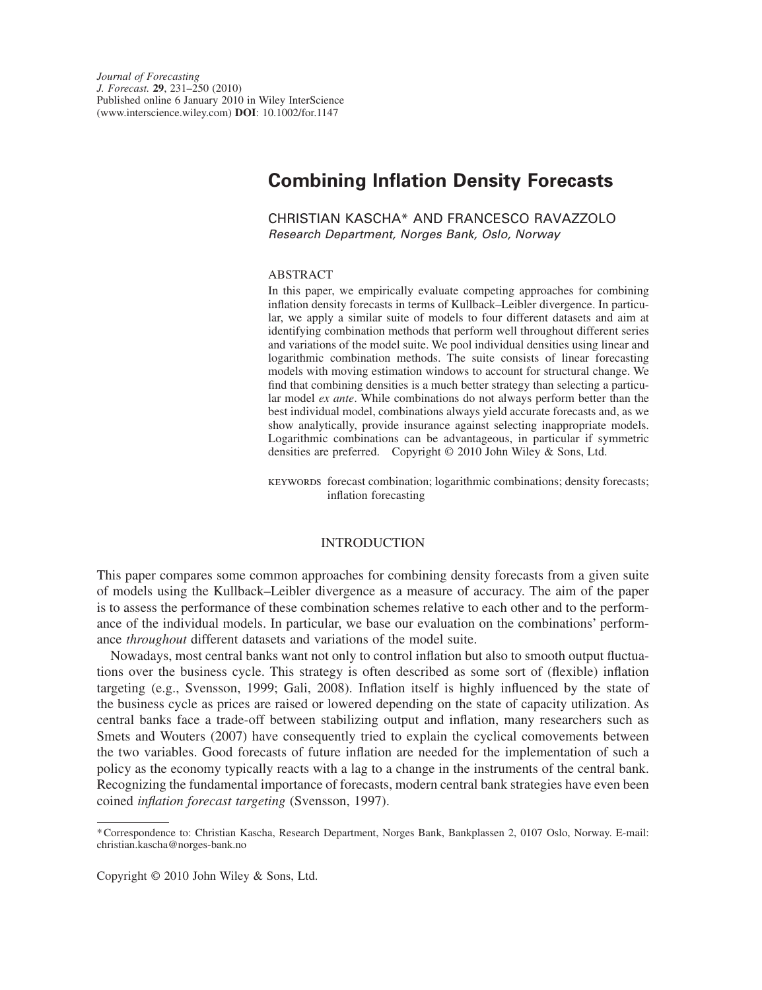# **Combining Inflation Density Forecasts**

CHRISTIAN KASCHA\* AND FRANCESCO RAVAZZOLO *Research Department, Norges Bank, Oslo, Norway*

## ABSTRACT

In this paper, we empirically evaluate competing approaches for combining inflation density forecasts in terms of Kullback–Leibler divergence. In particular, we apply a similar suite of models to four different datasets and aim at identifying combination methods that perform well throughout different series and variations of the model suite. We pool individual densities using linear and logarithmic combination methods. The suite consists of linear forecasting models with moving estimation windows to account for structural change. We find that combining densities is a much better strategy than selecting a particular model *ex ante*. While combinations do not always perform better than the best individual model, combinations always yield accurate forecasts and, as we show analytically, provide insurance against selecting inappropriate models. Logarithmic combinations can be advantageous, in particular if symmetric densities are preferred. Copyright © 2010 John Wiley & Sons, Ltd.

keywords forecast combination; logarithmic combinations; density forecasts; inflation forecasting

## INTRODUCTION

This paper compares some common approaches for combining density forecasts from a given suite of models using the Kullback–Leibler divergence as a measure of accuracy. The aim of the paper is to assess the performance of these combination schemes relative to each other and to the performance of the individual models. In particular, we base our evaluation on the combinations' performance *throughout* different datasets and variations of the model suite.

Nowadays, most central banks want not only to control inflation but also to smooth output fluctuations over the business cycle. This strategy is often described as some sort of (flexible) inflation targeting (e.g., Svensson, 1999; Gali, 2008). Inflation itself is highly influenced by the state of the business cycle as prices are raised or lowered depending on the state of capacity utilization. As central banks face a trade-off between stabilizing output and inflation, many researchers such as Smets and Wouters (2007) have consequently tried to explain the cyclical comovements between the two variables. Good forecasts of future inflation are needed for the implementation of such a policy as the economy typically reacts with a lag to a change in the instruments of the central bank. Recognizing the fundamental importance of forecasts, modern central bank strategies have even been coined *inflation forecast targeting* (Svensson, 1997).

Copyright © 2010 John Wiley & Sons, Ltd.

<sup>\*</sup> Correspondence to: Christian Kascha, Research Department, Norges Bank, Bankplassen 2, 0107 Oslo, Norway. E-mail: christian.kascha@norges-bank.no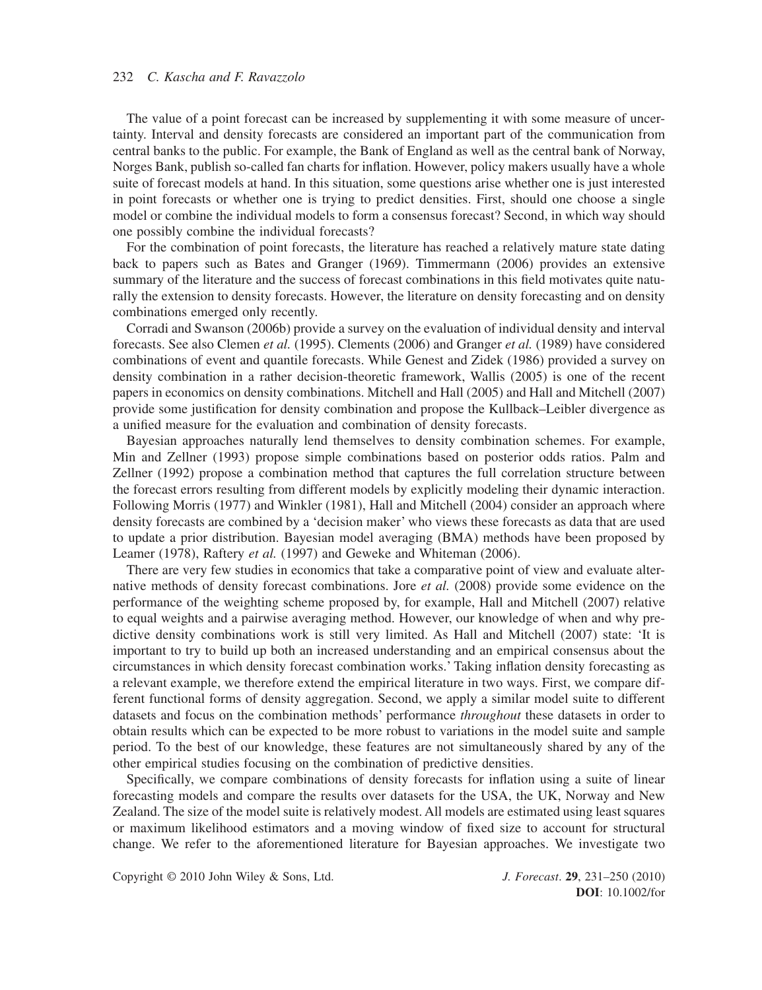The value of a point forecast can be increased by supplementing it with some measure of uncertainty. Interval and density forecasts are considered an important part of the communication from central banks to the public. For example, the Bank of England as well as the central bank of Norway, Norges Bank, publish so-called fan charts for inflation. However, policy makers usually have a whole suite of forecast models at hand. In this situation, some questions arise whether one is just interested in point forecasts or whether one is trying to predict densities. First, should one choose a single model or combine the individual models to form a consensus forecast? Second, in which way should one possibly combine the individual forecasts?

For the combination of point forecasts, the literature has reached a relatively mature state dating back to papers such as Bates and Granger (1969). Timmermann (2006) provides an extensive summary of the literature and the success of forecast combinations in this field motivates quite naturally the extension to density forecasts. However, the literature on density forecasting and on density combinations emerged only recently.

Corradi and Swanson (2006b) provide a survey on the evaluation of individual density and interval forecasts. See also Clemen *et al.* (1995). Clements (2006) and Granger *et al.* (1989) have considered combinations of event and quantile forecasts. While Genest and Zidek (1986) provided a survey on density combination in a rather decision-theoretic framework, Wallis (2005) is one of the recent papers in economics on density combinations. Mitchell and Hall (2005) and Hall and Mitchell (2007) provide some justification for density combination and propose the Kullback–Leibler divergence as a unified measure for the evaluation and combination of density forecasts.

Bayesian approaches naturally lend themselves to density combination schemes. For example, Min and Zellner (1993) propose simple combinations based on posterior odds ratios. Palm and Zellner (1992) propose a combination method that captures the full correlation structure between the forecast errors resulting from different models by explicitly modeling their dynamic interaction. Following Morris (1977) and Winkler (1981), Hall and Mitchell (2004) consider an approach where density forecasts are combined by a 'decision maker' who views these forecasts as data that are used to update a prior distribution. Bayesian model averaging (BMA) methods have been proposed by Leamer (1978), Raftery *et al.* (1997) and Geweke and Whiteman (2006).

There are very few studies in economics that take a comparative point of view and evaluate alternative methods of density forecast combinations. Jore *et al.* (2008) provide some evidence on the performance of the weighting scheme proposed by, for example, Hall and Mitchell (2007) relative to equal weights and a pairwise averaging method. However, our knowledge of when and why predictive density combinations work is still very limited. As Hall and Mitchell (2007) state: 'It is important to try to build up both an increased understanding and an empirical consensus about the circumstances in which density forecast combination works.' Taking inflation density forecasting as a relevant example, we therefore extend the empirical literature in two ways. First, we compare different functional forms of density aggregation. Second, we apply a similar model suite to different datasets and focus on the combination methods' performance *throughout* these datasets in order to obtain results which can be expected to be more robust to variations in the model suite and sample period. To the best of our knowledge, these features are not simultaneously shared by any of the other empirical studies focusing on the combination of predictive densities.

Specifically, we compare combinations of density forecasts for inflation using a suite of linear forecasting models and compare the results over datasets for the USA, the UK, Norway and New Zealand. The size of the model suite is relatively modest. All models are estimated using least squares or maximum likelihood estimators and a moving window of fixed size to account for structural change. We refer to the aforementioned literature for Bayesian approaches. We investigate two

Copyright © 2010 John Wiley & Sons, Ltd. *J. Forecast*. **29**, 231–250 (2010)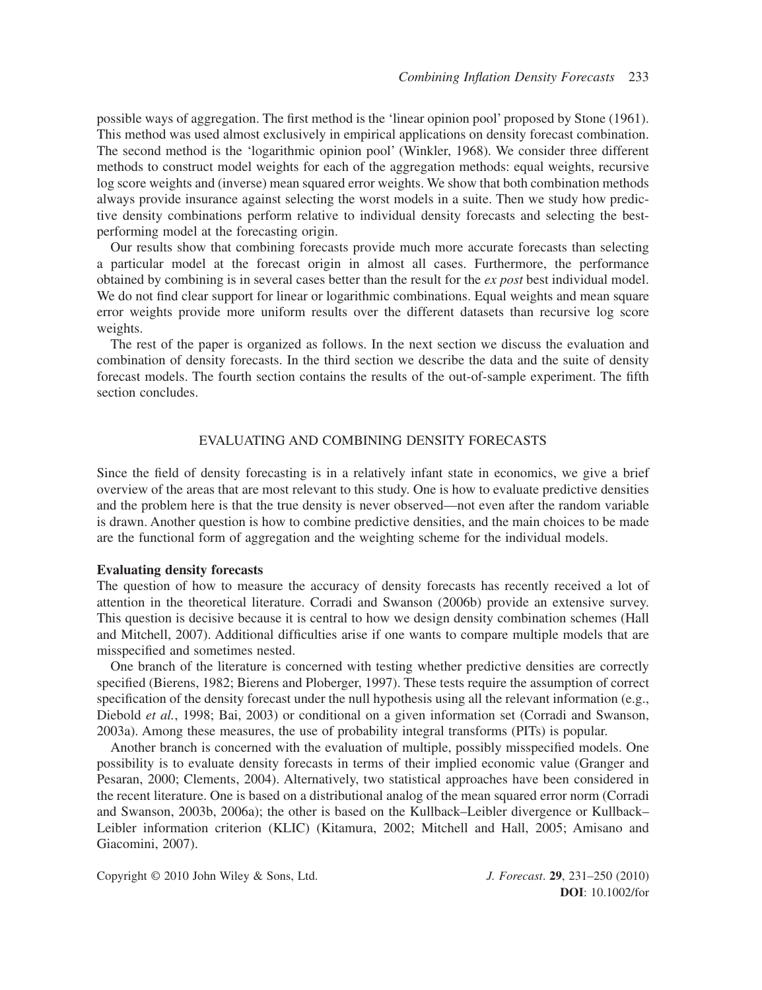possible ways of aggregation. The first method is the 'linear opinion pool' proposed by Stone (1961). This method was used almost exclusively in empirical applications on density forecast combination. The second method is the 'logarithmic opinion pool' (Winkler, 1968). We consider three different methods to construct model weights for each of the aggregation methods: equal weights, recursive log score weights and (inverse) mean squared error weights. We show that both combination methods always provide insurance against selecting the worst models in a suite. Then we study how predictive density combinations perform relative to individual density forecasts and selecting the bestperforming model at the forecasting origin.

Our results show that combining forecasts provide much more accurate forecasts than selecting a particular model at the forecast origin in almost all cases. Furthermore, the performance obtained by combining is in several cases better than the result for the *ex post* best individual model. We do not find clear support for linear or logarithmic combinations. Equal weights and mean square error weights provide more uniform results over the different datasets than recursive log score weights.

The rest of the paper is organized as follows. In the next section we discuss the evaluation and combination of density forecasts. In the third section we describe the data and the suite of density forecast models. The fourth section contains the results of the out-of-sample experiment. The fifth section concludes.

# EVALUATING AND COMBINING DENSITY FORECASTS

Since the field of density forecasting is in a relatively infant state in economics, we give a brief overview of the areas that are most relevant to this study. One is how to evaluate predictive densities and the problem here is that the true density is never observed—not even after the random variable is drawn. Another question is how to combine predictive densities, and the main choices to be made are the functional form of aggregation and the weighting scheme for the individual models.

## **Evaluating density forecasts**

The question of how to measure the accuracy of density forecasts has recently received a lot of attention in the theoretical literature. Corradi and Swanson (2006b) provide an extensive survey. This question is decisive because it is central to how we design density combination schemes (Hall and Mitchell, 2007). Additional difficulties arise if one wants to compare multiple models that are misspecified and sometimes nested.

One branch of the literature is concerned with testing whether predictive densities are correctly specified (Bierens, 1982; Bierens and Ploberger, 1997). These tests require the assumption of correct specification of the density forecast under the null hypothesis using all the relevant information (e.g., Diebold *et al.*, 1998; Bai, 2003) or conditional on a given information set (Corradi and Swanson, 2003a). Among these measures, the use of probability integral transforms (PITs) is popular.

Another branch is concerned with the evaluation of multiple, possibly misspecified models. One possibility is to evaluate density forecasts in terms of their implied economic value (Granger and Pesaran, 2000; Clements, 2004). Alternatively, two statistical approaches have been considered in the recent literature. One is based on a distributional analog of the mean squared error norm (Corradi and Swanson, 2003b, 2006a); the other is based on the Kullback–Leibler divergence or Kullback– Leibler information criterion (KLIC) (Kitamura, 2002; Mitchell and Hall, 2005; Amisano and Giacomini, 2007).

Copyright © 2010 John Wiley & Sons, Ltd. *J. Forecast*. **29**, 231–250 (2010)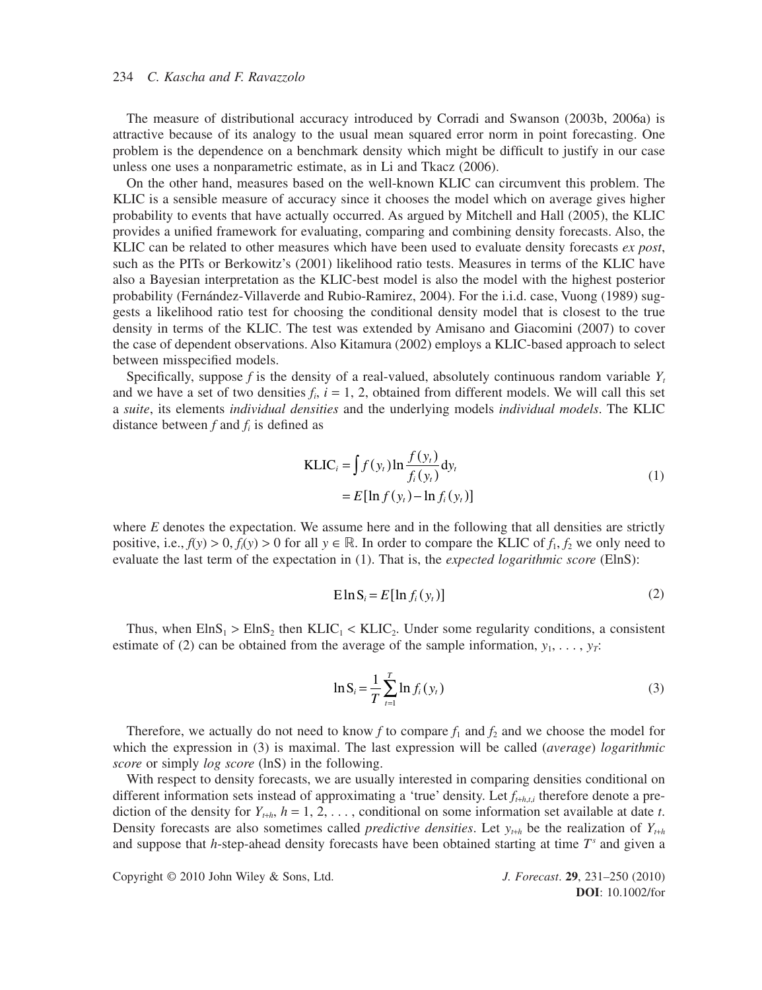The measure of distributional accuracy introduced by Corradi and Swanson (2003b, 2006a) is attractive because of its analogy to the usual mean squared error norm in point forecasting. One problem is the dependence on a benchmark density which might be difficult to justify in our case unless one uses a nonparametric estimate, as in Li and Tkacz (2006).

On the other hand, measures based on the well-known KLIC can circumvent this problem. The KLIC is a sensible measure of accuracy since it chooses the model which on average gives higher probability to events that have actually occurred. As argued by Mitchell and Hall (2005), the KLIC provides a unified framework for evaluating, comparing and combining density forecasts. Also, the KLIC can be related to other measures which have been used to evaluate density forecasts *ex post*, such as the PITs or Berkowitz's (2001) likelihood ratio tests. Measures in terms of the KLIC have also a Bayesian interpretation as the KLIC-best model is also the model with the highest posterior probability (Fernández-Villaverde and Rubio-Ramirez, 2004). For the i.i.d. case, Vuong (1989) suggests a likelihood ratio test for choosing the conditional density model that is closest to the true density in terms of the KLIC. The test was extended by Amisano and Giacomini (2007) to cover the case of dependent observations. Also Kitamura (2002) employs a KLIC-based approach to select between misspecified models.

Specifically, suppose *f* is the density of a real-valued, absolutely continuous random variable  $Y_t$ and we have a set of two densities  $f_i$ ,  $i = 1, 2$ , obtained from different models. We will call this set a *suite*, its elements *individual densities* and the underlying models *individual models*. The KLIC distance between  $f$  and  $f_i$  is defined as

$$
KLIC_i = \int f(y_t) \ln \frac{f(y_t)}{f_i(y_t)} dy_t
$$
  
= 
$$
E[\ln f(y_t) - \ln f_i(y_t)]
$$
 (1)

where *E* denotes the expectation. We assume here and in the following that all densities are strictly positive, i.e.,  $f(y) > 0$ ,  $f_i(y) > 0$  for all  $y \in \mathbb{R}$ . In order to compare the KLIC of  $f_1, f_2$  we only need to evaluate the last term of the expectation in (1). That is, the *expected logarithmic score* (ElnS):

$$
E \ln S_i = E[\ln f_i(y_t)] \tag{2}
$$

Thus, when  $\text{ElnS}_1 > \text{ElnS}_2$  then  $\text{KLIC}_1 < \text{KLIC}_2$ . Under some regularity conditions, a consistent estimate of (2) can be obtained from the average of the sample information,  $y_1, \ldots, y_T$ :

$$
\ln S_i = \frac{1}{T} \sum_{t=1}^{T} \ln f_i(y_t)
$$
 (3)

Therefore, we actually do not need to know f to compare  $f_1$  and  $f_2$  and we choose the model for which the expression in (3) is maximal. The last expression will be called (*average*) *logarithmic score* or simply *log score* (lnS) in the following.

With respect to density forecasts, we are usually interested in comparing densities conditional on different information sets instead of approximating a 'true' density. Let *ft*+*h*,*t*,*i* therefore denote a prediction of the density for  $Y_{t+h}$ ,  $h = 1, 2, \ldots$ , conditional on some information set available at date *t*. Density forecasts are also sometimes called *predictive densities*. Let  $y_{t+h}$  be the realization of  $Y_{t+h}$ and suppose that  $h$ -step-ahead density forecasts have been obtained starting at time  $T<sup>s</sup>$  and given a

Copyright © 2010 John Wiley & Sons, Ltd. *J. Forecast*. **29**, 231–250 (2010)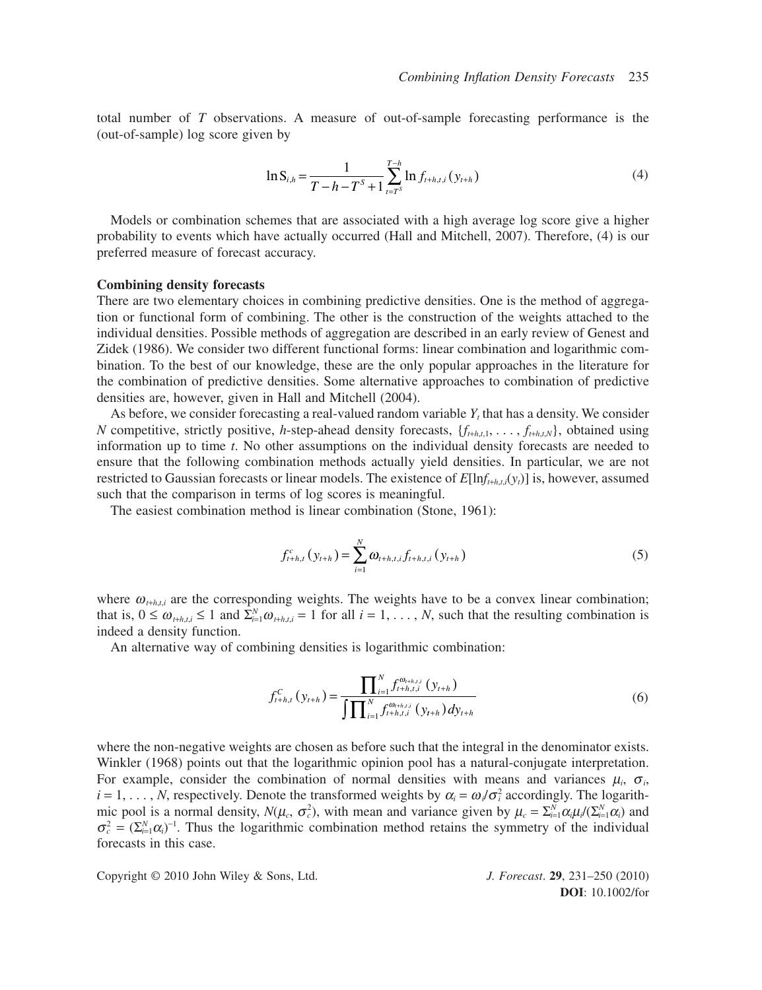total number of *T* observations. A measure of out-of-sample forecasting performance is the (out-of-sample) log score given by

$$
\ln S_{i,h} = \frac{1}{T - h - T^s + 1} \sum_{t = T^s}^{T - h} \ln f_{t + h,t,i}(y_{t + h})
$$
(4)

Models or combination schemes that are associated with a high average log score give a higher probability to events which have actually occurred (Hall and Mitchell, 2007). Therefore, (4) is our preferred measure of forecast accuracy.

#### **Combining density forecasts**

There are two elementary choices in combining predictive densities. One is the method of aggregation or functional form of combining. The other is the construction of the weights attached to the individual densities. Possible methods of aggregation are described in an early review of Genest and Zidek (1986). We consider two different functional forms: linear combination and logarithmic combination. To the best of our knowledge, these are the only popular approaches in the literature for the combination of predictive densities. Some alternative approaches to combination of predictive densities are, however, given in Hall and Mitchell (2004).

As before, we consider forecasting a real-valued random variable *Yt* that has a density. We consider *N* competitive, strictly positive, *h*-step-ahead density forecasts,  $\{f_{t+h,t,1}, \ldots, f_{t+h,t,N}\}$ , obtained using information up to time *t*. No other assumptions on the individual density forecasts are needed to ensure that the following combination methods actually yield densities. In particular, we are not restricted to Gaussian forecasts or linear models. The existence of  $E[\ln f_{t+h,t,i}(y_t)]$  is, however, assumed such that the comparison in terms of log scores is meaningful.

The easiest combination method is linear combination (Stone, 1961):

$$
f_{t+h,t}^{c}(y_{t+h}) = \sum_{i=1}^{N} \omega_{t+h,t,i} f_{t+h,t,i}(y_{t+h})
$$
\n(5)

where  $\omega_{t+h,t,i}$  are the corresponding weights. The weights have to be a convex linear combination; that is,  $0 \le \omega_{t+h,t,i} \le 1$  and  $\sum_{i=1}^{N} \omega_{t+h,t,i} = 1$  for all  $i = 1, \ldots, N$ , such that the resulting combination is indeed a density function.

An alternative way of combining densities is logarithmic combination:

$$
f_{t+h,t}^{C}(y_{t+h}) = \frac{\prod_{i=1}^{N} f_{t+h,t,i}^{a_{t+h,t,i}}(y_{t+h})}{\int \prod_{i=1}^{N} f_{t+h,t,i}^{a_{t+h,t,i}}(y_{t+h}) dy_{t+h}}
$$
(6)

where the non-negative weights are chosen as before such that the integral in the denominator exists. Winkler (1968) points out that the logarithmic opinion pool has a natural-conjugate interpretation. For example, consider the combination of normal densities with means and variances  $\mu_i$ ,  $\sigma_i$ ,  $i = 1, \ldots, N$ , respectively. Denote the transformed weights by  $\alpha_i = \omega_i / \sigma_i^2$  accordingly. The logarithmic pool is a normal density,  $N(\mu_c, \sigma_c^2)$ , with mean and variance given by  $\mu_c = \sum_{i=1}^{N} \alpha_i \mu_i / (\sum_{i=1}^{N} \alpha_i)$  and  $\sigma_c^2 = (\sum_{i=1}^{N} \alpha_i)^{-1}$ . Thus the logarithmic combination method retains the symmetry of the individual forecasts in this case.

Copyright © 2010 John Wiley & Sons, Ltd. *J. Forecast*. **29**, 231–250 (2010)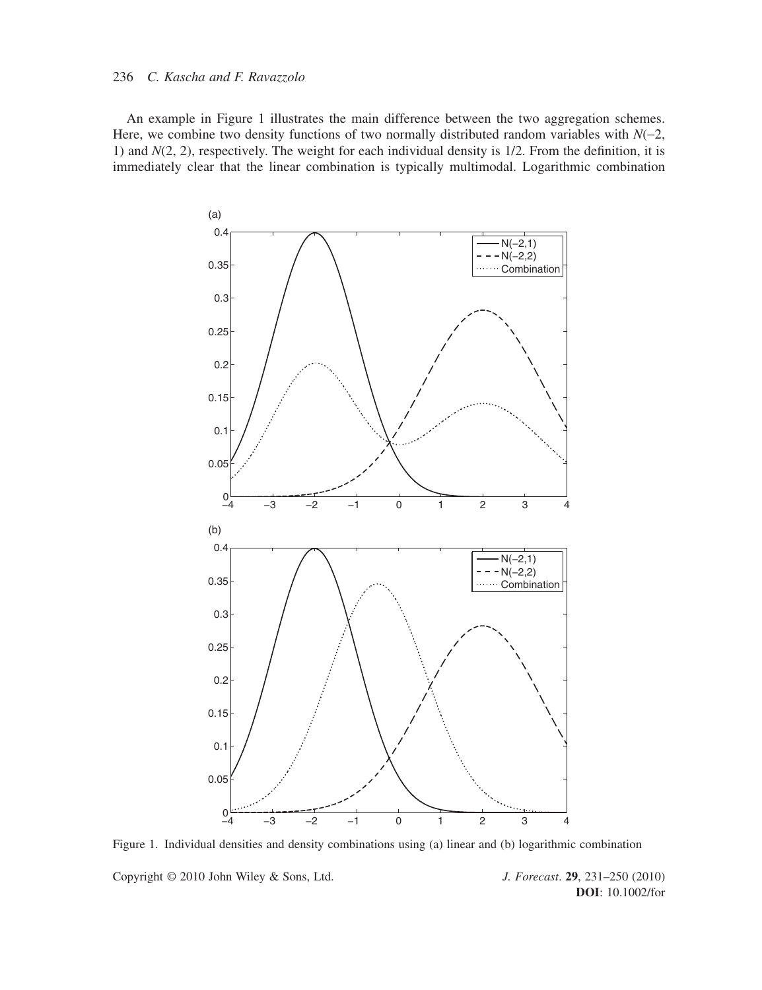An example in Figure 1 illustrates the main difference between the two aggregation schemes. Here, we combine two density functions of two normally distributed random variables with *N*(−2, 1) and  $N(2, 2)$ , respectively. The weight for each individual density is  $1/2$ . From the definition, it is immediately clear that the linear combination is typically multimodal. Logarithmic combination



Figure 1. Individual densities and density combinations using (a) linear and (b) logarithmic combination

Copyright © 2010 John Wiley & Sons, Ltd. *J. Forecast*. **29**, 231–250 (2010)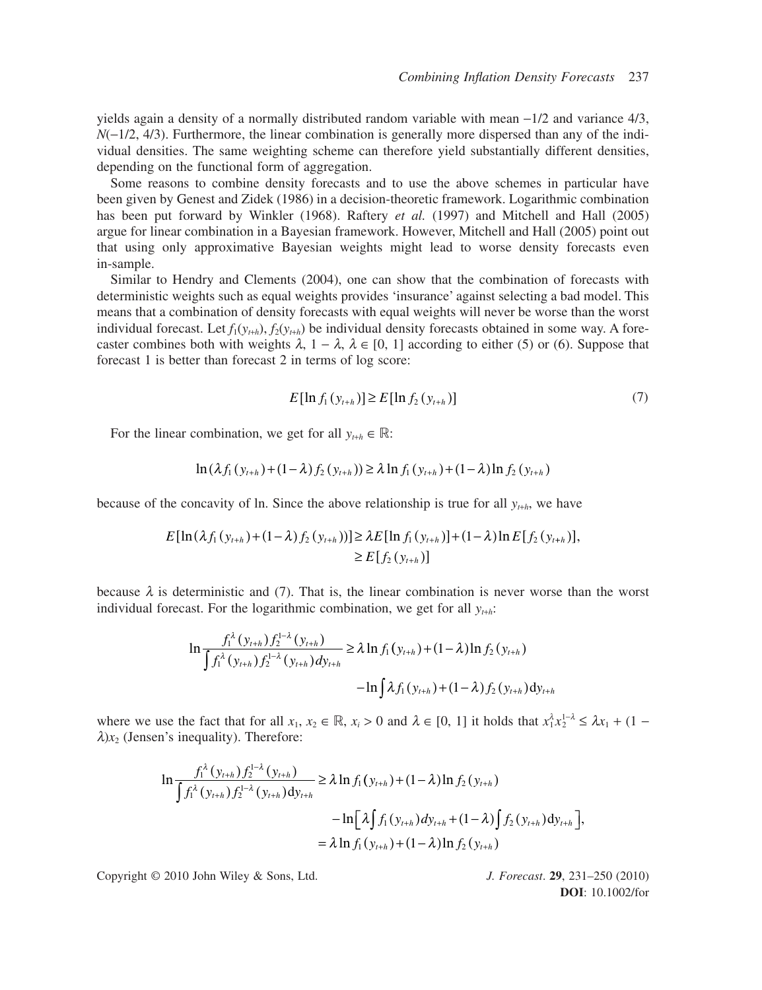yields again a density of a normally distributed random variable with mean −1/2 and variance 4/3, *N*(−1/2, 4/3). Furthermore, the linear combination is generally more dispersed than any of the individual densities. The same weighting scheme can therefore yield substantially different densities, depending on the functional form of aggregation.

Some reasons to combine density forecasts and to use the above schemes in particular have been given by Genest and Zidek (1986) in a decision-theoretic framework. Logarithmic combination has been put forward by Winkler (1968). Raftery *et al.* (1997) and Mitchell and Hall (2005) argue for linear combination in a Bayesian framework. However, Mitchell and Hall (2005) point out that using only approximative Bayesian weights might lead to worse density forecasts even in-sample.

Similar to Hendry and Clements (2004), one can show that the combination of forecasts with deterministic weights such as equal weights provides 'insurance' against selecting a bad model. This means that a combination of density forecasts with equal weights will never be worse than the worst individual forecast. Let  $f_1(y_{t+h})$ ,  $f_2(y_{t+h})$  be individual density forecasts obtained in some way. A forecaster combines both with weights  $\lambda$ ,  $1 - \lambda$ ,  $\lambda \in [0, 1]$  according to either (5) or (6). Suppose that forecast 1 is better than forecast 2 in terms of log score:

$$
E[\ln f_1(y_{t+h})] \ge E[\ln f_2(y_{t+h})]
$$
\n(7)

For the linear combination, we get for all  $y_{t+h} \in \mathbb{R}$ :

$$
\ln(\lambda f_1(y_{t+h}) + (1-\lambda)f_2(y_{t+h})) \ge \lambda \ln f_1(y_{t+h}) + (1-\lambda)\ln f_2(y_{t+h})
$$

because of the concavity of ln. Since the above relationship is true for all  $y_{t+h}$ , we have

$$
E[\ln(\lambda f_1(y_{t+h}) + (1-\lambda) f_2(y_{t+h}))] \ge \lambda E[\ln f_1(y_{t+h})] + (1-\lambda) \ln E[f_2(y_{t+h})],
$$
  
 
$$
\ge E[f_2(y_{t+h})]
$$

because  $\lambda$  is deterministic and (7). That is, the linear combination is never worse than the worst individual forecast. For the logarithmic combination, we get for all  $y_{t+h}$ :

$$
\ln \frac{f_1^{\lambda}(y_{t+h}) f_2^{1-\lambda}(y_{t+h})}{\int f_1^{\lambda}(y_{t+h}) f_2^{1-\lambda}(y_{t+h}) dy_{t+h}} \geq \lambda \ln f_1(y_{t+h}) + (1-\lambda) \ln f_2(y_{t+h})
$$

$$
- \ln \int \lambda f_1(y_{t+h}) + (1-\lambda) f_2(y_{t+h}) dy_{t+h}
$$

where we use the fact that for all  $x_1, x_2 \in \mathbb{R}$ ,  $x_i > 0$  and  $\lambda \in [0, 1]$  it holds that  $x_1^{\lambda} x_2^{1-\lambda} \leq \lambda x_1 + (1 - \lambda)x_2^{1-\lambda}$  $\lambda$ )*x*<sub>2</sub> (Jensen's inequality). Therefore:

$$
\ln \frac{f_1^{\lambda}(y_{t+h}) f_2^{1-\lambda}(y_{t+h})}{\int f_1^{\lambda}(y_{t+h}) f_2^{1-\lambda}(y_{t+h}) dy_{t+h}} \geq \lambda \ln f_1(y_{t+h}) + (1-\lambda) \ln f_2(y_{t+h})
$$
  
-  $\ln[\lambda \int f_1(y_{t+h}) dy_{t+h} + (1-\lambda) \int f_2(y_{t+h}) dy_{t+h}],$   
=  $\lambda \ln f_1(y_{t+h}) + (1-\lambda) \ln f_2(y_{t+h})$ 

Copyright © 2010 John Wiley & Sons, Ltd. *J. Forecast*. **29**, 231–250 (2010)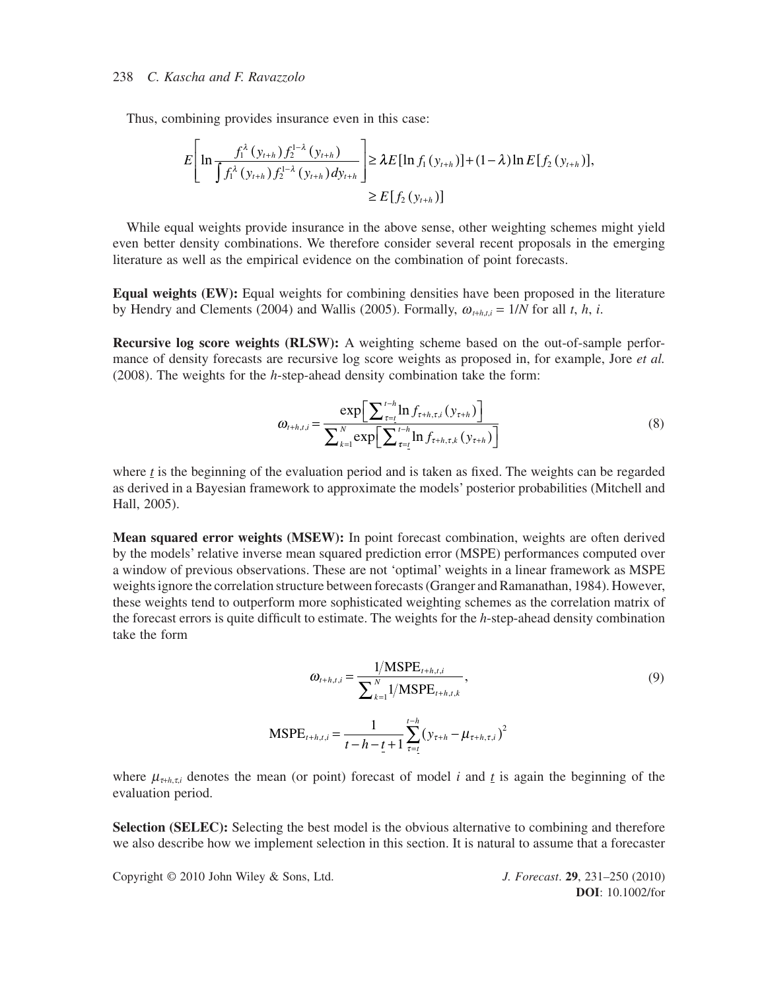Thus, combining provides insurance even in this case:

$$
E\left[\ln \frac{f_1^{\lambda}(y_{t+h})f_2^{1-\lambda}(y_{t+h})}{\int f_1^{\lambda}(y_{t+h})f_2^{1-\lambda}(y_{t+h})dy_{t+h}}\right] \geq \lambda E[\ln f_1(y_{t+h})] + (1-\lambda)\ln E[f_2(y_{t+h})],
$$
  

$$
\geq E[f_2(y_{t+h})]
$$

While equal weights provide insurance in the above sense, other weighting schemes might yield even better density combinations. We therefore consider several recent proposals in the emerging literature as well as the empirical evidence on the combination of point forecasts.

**Equal weights (EW):** Equal weights for combining densities have been proposed in the literature by Hendry and Clements (2004) and Wallis (2005). Formally,  $\omega_{t+h,t,i} = 1/N$  for all *t*, *h*, *i*.

**Recursive log score weights (RLSW):** A weighting scheme based on the out-of-sample performance of density forecasts are recursive log score weights as proposed in, for example, Jore *et al.* (2008). The weights for the *h*-step-ahead density combination take the form:

$$
\omega_{t+h,t,i} = \frac{\exp\left[\sum_{\tau=t}^{t-h} \ln f_{\tau+h,\tau,i}(y_{\tau+h})\right]}{\sum_{k=1}^{N} \exp\left[\sum_{\tau=t}^{t-h} \ln f_{\tau+h,\tau,k}(y_{\tau+h})\right]}
$$
(8)

where  *is the beginning of the evaluation period and is taken as fixed. The weights can be regarded* as derived in a Bayesian framework to approximate the models' posterior probabilities (Mitchell and Hall, 2005).

**Mean squared error weights (MSEW):** In point forecast combination, weights are often derived by the models' relative inverse mean squared prediction error (MSPE) performances computed over a window of previous observations. These are not 'optimal' weights in a linear framework as MSPE weights ignore the correlation structure between forecasts (Granger and Ramanathan, 1984). However, these weights tend to outperform more sophisticated weighting schemes as the correlation matrix of the forecast errors is quite difficult to estimate. The weights for the *h*-step-ahead density combination take the form

$$
\omega_{t+h,t,i} = \frac{1/\text{MSPE}_{t+h,t,i}}{\sum_{k=1}^{N} 1/\text{MSPE}_{t+h,t,k}},
$$
\n
$$
\text{MSPE}_{t+h,t,i} = \frac{1}{t-h-t+1} \sum_{\tau=t}^{t-h} (y_{\tau+h} - \mu_{\tau+h,\tau,i})^2
$$
\n(9)

where  $\mu_{\tau+h,\tau,i}$  denotes the mean (or point) forecast of model *i* and *t* is again the beginning of the evaluation period.

**Selection (SELEC):** Selecting the best model is the obvious alternative to combining and therefore we also describe how we implement selection in this section. It is natural to assume that a forecaster

Copyright © 2010 John Wiley & Sons, Ltd. *J. Forecast*. **29**, 231–250 (2010)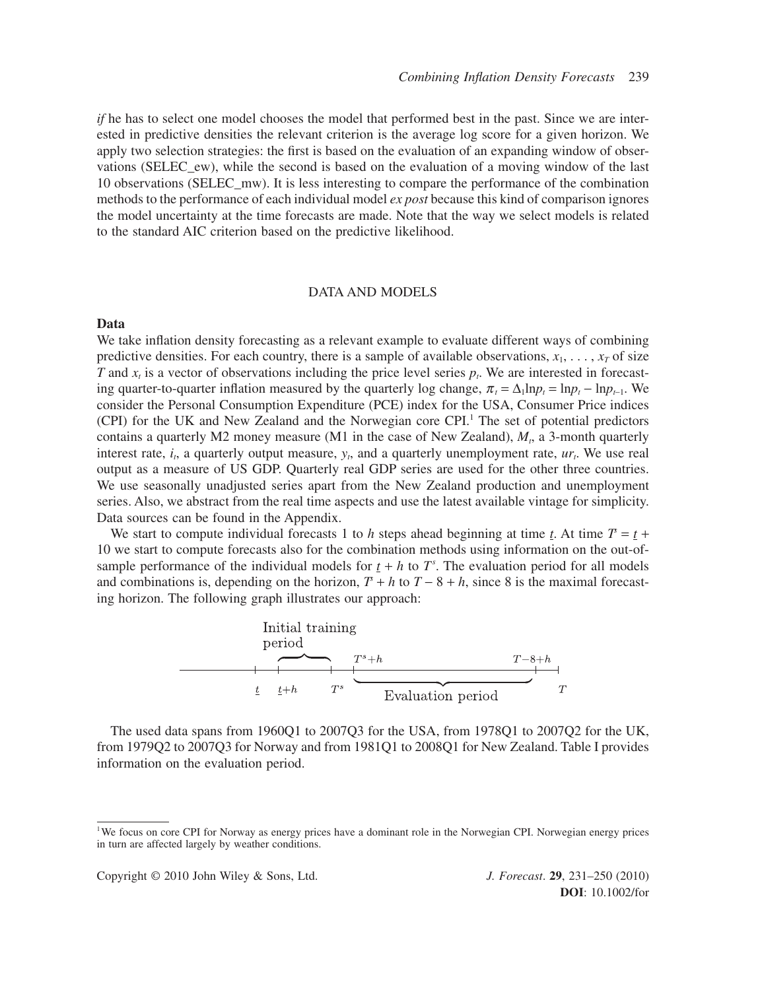*if* he has to select one model chooses the model that performed best in the past. Since we are interested in predictive densities the relevant criterion is the average log score for a given horizon. We apply two selection strategies: the first is based on the evaluation of an expanding window of observations (SELEC\_ew), while the second is based on the evaluation of a moving window of the last 10 observations (SELEC\_mw). It is less interesting to compare the performance of the combination methods to the performance of each individual model *ex post* because this kind of comparison ignores the model uncertainty at the time forecasts are made. Note that the way we select models is related to the standard AIC criterion based on the predictive likelihood.

## DATA AND MODELS

### **Data**

We take inflation density forecasting as a relevant example to evaluate different ways of combining predictive densities. For each country, there is a sample of available observations,  $x_1, \ldots, x_T$  of size *T* and  $x_t$  is a vector of observations including the price level series  $p_t$ . We are interested in forecasting quarter-to-quarter inflation measured by the quarterly log change,  $\pi_t = \Delta_1 \ln p_t = \ln p_t - \ln p_{t-1}$ . We consider the Personal Consumption Expenditure (PCE) index for the USA, Consumer Price indices (CPI) for the UK and New Zealand and the Norwegian core CPI.<sup>1</sup> The set of potential predictors contains a quarterly M2 money measure  $(M1$  in the case of New Zealand),  $M<sub>t</sub>$ , a 3-month quarterly interest rate,  $i_t$ , a quarterly output measure,  $y_t$ , and a quarterly unemployment rate,  $ur_t$ . We use real output as a measure of US GDP. Quarterly real GDP series are used for the other three countries. We use seasonally unadjusted series apart from the New Zealand production and unemployment series. Also, we abstract from the real time aspects and use the latest available vintage for simplicity. Data sources can be found in the Appendix.

We start to compute individual forecasts 1 to *h* steps ahead beginning at time *t*. At time  $T = t +$ 10 we start to compute forecasts also for the combination methods using information on the out-ofsample performance of the individual models for  $\underline{t} + h$  to  $T<sup>s</sup>$ . The evaluation period for all models and combinations is, depending on the horizon,  $T + h$  to  $T - 8 + h$ , since 8 is the maximal forecasting horizon. The following graph illustrates our approach:



The used data spans from 1960Q1 to 2007Q3 for the USA, from 1978Q1 to 2007Q2 for the UK, from 1979Q2 to 2007Q3 for Norway and from 1981Q1 to 2008Q1 for New Zealand. Table I provides information on the evaluation period.

<sup>&</sup>lt;sup>1</sup>We focus on core CPI for Norway as energy prices have a dominant role in the Norwegian CPI. Norwegian energy prices in turn are affected largely by weather conditions.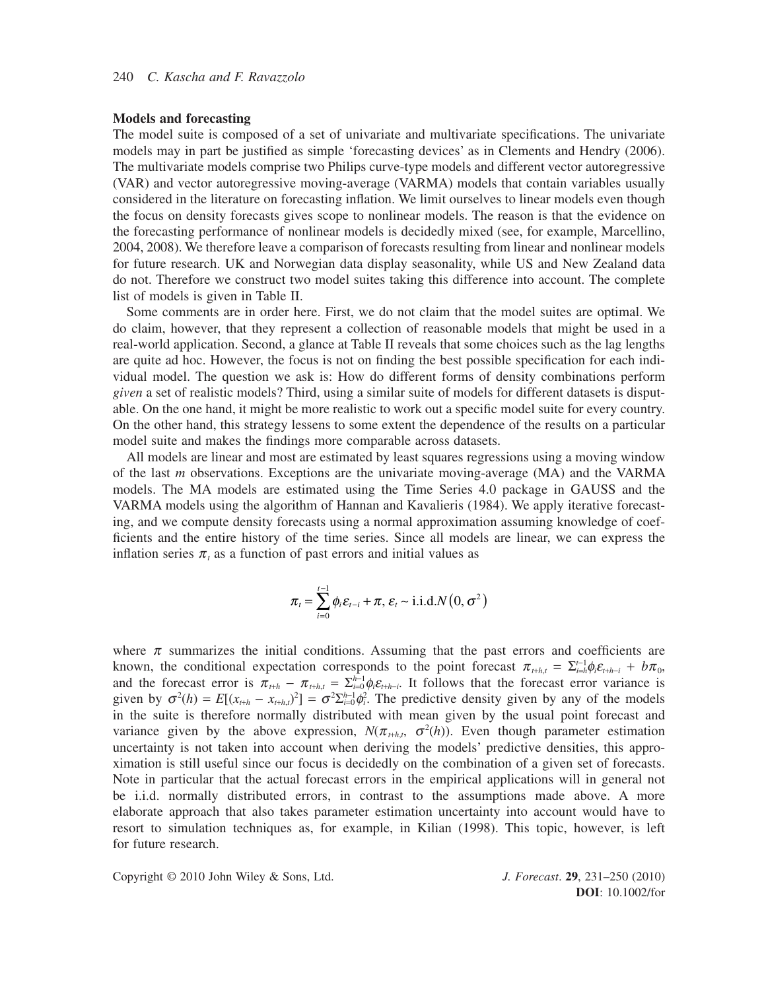#### **Models and forecasting**

The model suite is composed of a set of univariate and multivariate specifications. The univariate models may in part be justified as simple 'forecasting devices' as in Clements and Hendry (2006). The multivariate models comprise two Philips curve-type models and different vector autoregressive (VAR) and vector autoregressive moving-average (VARMA) models that contain variables usually considered in the literature on forecasting inflation. We limit ourselves to linear models even though the focus on density forecasts gives scope to nonlinear models. The reason is that the evidence on the forecasting performance of nonlinear models is decidedly mixed (see, for example, Marcellino, 2004, 2008). We therefore leave a comparison of forecasts resulting from linear and nonlinear models for future research. UK and Norwegian data display seasonality, while US and New Zealand data do not. Therefore we construct two model suites taking this difference into account. The complete list of models is given in Table II.

Some comments are in order here. First, we do not claim that the model suites are optimal. We do claim, however, that they represent a collection of reasonable models that might be used in a real-world application. Second, a glance at Table II reveals that some choices such as the lag lengths are quite ad hoc. However, the focus is not on finding the best possible specification for each individual model. The question we ask is: How do different forms of density combinations perform *given* a set of realistic models? Third, using a similar suite of models for different datasets is disputable. On the one hand, it might be more realistic to work out a specific model suite for every country. On the other hand, this strategy lessens to some extent the dependence of the results on a particular model suite and makes the findings more comparable across datasets.

All models are linear and most are estimated by least squares regressions using a moving window of the last *m* observations. Exceptions are the univariate moving-average (MA) and the VARMA models. The MA models are estimated using the Time Series 4.0 package in GAUSS and the VARMA models using the algorithm of Hannan and Kavalieris (1984). We apply iterative forecasting, and we compute density forecasts using a normal approximation assuming knowledge of coefficients and the entire history of the time series. Since all models are linear, we can express the inflation series  $\pi_t$  as a function of past errors and initial values as

$$
\pi_{t} = \sum_{i=0}^{t-1} \phi_{i} \varepsilon_{t-i} + \pi, \, \varepsilon_{t} \sim \text{i.i.d.} N(0, \sigma^{2})
$$

where  $\pi$  summarizes the initial conditions. Assuming that the past errors and coefficients are known, the conditional expectation corresponds to the point forecast  $\pi_{t+h,t} = \sum_{i=h}^{t-1} \phi_i \varepsilon_{t+h-i} + b\pi_0$ , and the forecast error is  $\pi_{t+h} - \pi_{t+h,t} = \sum_{i=0}^{h-1} \phi_i \varepsilon_{t+h-i}$ . It follows that the forecast error variance is given by  $\sigma^2(h) = E[(x_{t+h} - x_{t+h,t})^2] = \sigma^2 \sum_{i=0}^{h-1} \phi_i^2$ . The predictive density given by any of the models in the suite is therefore normally distributed with mean given by the usual point forecast and variance given by the above expression,  $N(\pi_{t+h,t}, \sigma^2(h))$ . Even though parameter estimation uncertainty is not taken into account when deriving the models' predictive densities, this approximation is still useful since our focus is decidedly on the combination of a given set of forecasts. Note in particular that the actual forecast errors in the empirical applications will in general not be i.i.d. normally distributed errors, in contrast to the assumptions made above. A more elaborate approach that also takes parameter estimation uncertainty into account would have to resort to simulation techniques as, for example, in Kilian (1998). This topic, however, is left for future research.

Copyright © 2010 John Wiley & Sons, Ltd. *J. Forecast*. **29**, 231–250 (2010)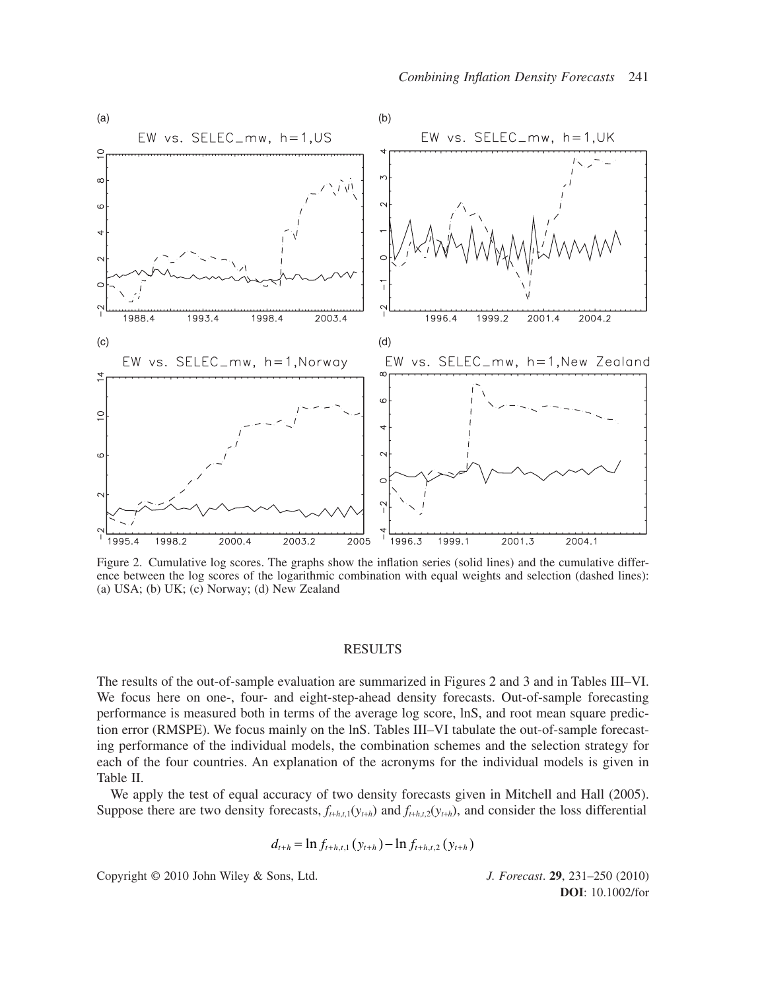

Figure 2. Cumulative log scores. The graphs show the inflation series (solid lines) and the cumulative difference between the log scores of the logarithmic combination with equal weights and selection (dashed lines): (a) USA; (b) UK; (c) Norway; (d) New Zealand

#### RESULTS

The results of the out-of-sample evaluation are summarized in Figures 2 and 3 and in Tables III–VI. We focus here on one-, four- and eight-step-ahead density forecasts. Out-of-sample forecasting performance is measured both in terms of the average log score, lnS, and root mean square prediction error (RMSPE). We focus mainly on the lnS. Tables III–VI tabulate the out-of-sample forecasting performance of the individual models, the combination schemes and the selection strategy for each of the four countries. An explanation of the acronyms for the individual models is given in Table II.

We apply the test of equal accuracy of two density forecasts given in Mitchell and Hall (2005). Suppose there are two density forecasts,  $f_{t+h,t,1}(y_{t+h})$  and  $f_{t+h,t,2}(y_{t+h})$ , and consider the loss differential

$$
d_{t+h} = \ln f_{t+h,t,1} (y_{t+h}) - \ln f_{t+h,t,2} (y_{t+h})
$$

Copyright © 2010 John Wiley & Sons, Ltd. *J. Forecast*. **29**, 231–250 (2010)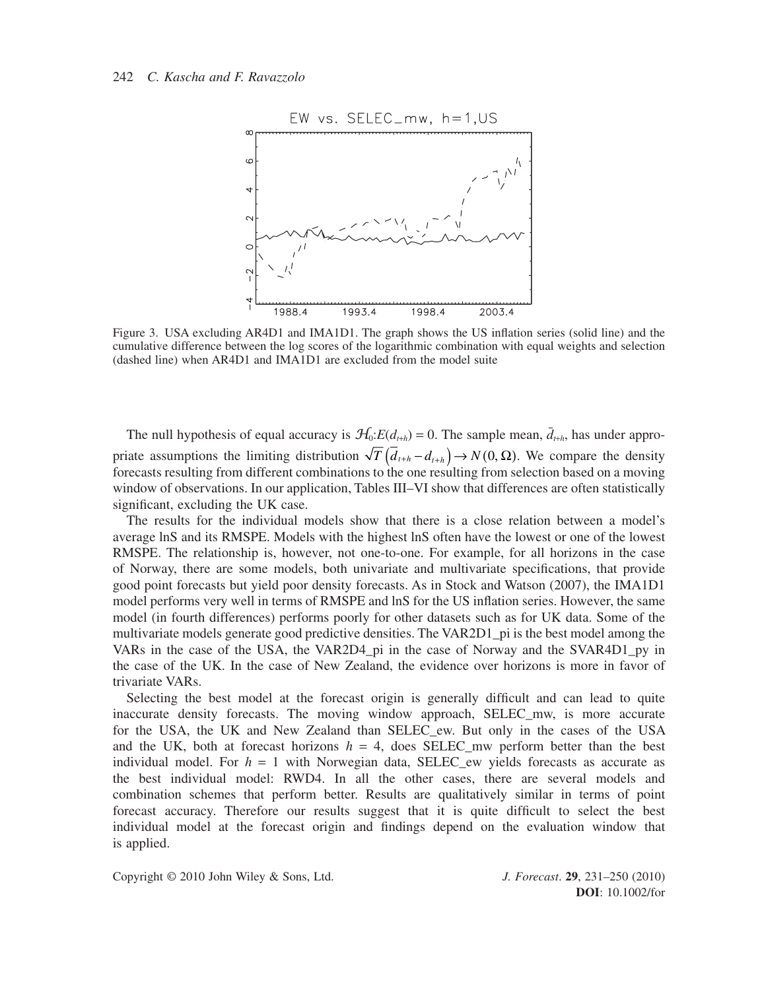

Figure 3. USA excluding AR4D1 and IMA1D1. The graph shows the US inflation series (solid line) and the cumulative difference between the log scores of the logarithmic combination with equal weights and selection (dashed line) when AR4D1 and IMA1D1 are excluded from the model suite

The null hypothesis of equal accuracy is  $\mathcal{H}_0$ :*E*( $d$ <sub>*t*+*h*</sub>) = 0. The sample mean,  $\bar{d}$ <sub>*t*+*h*</sub>, has under appropriate assumptions the limiting distribution  $\sqrt{T}(\overline{d}_{t+h} - d_{t+h}) \to N(0, \Omega)$ . We compare the density forecasts resulting from different combinations to the one resulting from selection based on a moving window of observations. In our application, Tables III–VI show that differences are often statistically significant, excluding the UK case.

The results for the individual models show that there is a close relation between a model's average lnS and its RMSPE. Models with the highest lnS often have the lowest or one of the lowest RMSPE. The relationship is, however, not one-to-one. For example, for all horizons in the case of Norway, there are some models, both univariate and multivariate specifications, that provide good point forecasts but yield poor density forecasts. As in Stock and Watson (2007), the IMA1D1 model performs very well in terms of RMSPE and lnS for the US inflation series. However, the same model (in fourth differences) performs poorly for other datasets such as for UK data. Some of the multivariate models generate good predictive densities. The VAR2D1 pi is the best model among the VARs in the case of the USA, the VAR2D4\_pi in the case of Norway and the SVAR4D1\_py in the case of the UK. In the case of New Zealand, the evidence over horizons is more in favor of trivariate VARs.

Selecting the best model at the forecast origin is generally difficult and can lead to quite inaccurate density forecasts. The moving window approach, SELEC\_mw, is more accurate for the USA, the UK and New Zealand than SELEC\_ew. But only in the cases of the USA and the UK, both at forecast horizons  $h = 4$ , does SELEC mw perform better than the best individual model. For  $h = 1$  with Norwegian data, SELEC ew yields forecasts as accurate as the best individual model: RWD4. In all the other cases, there are several models and combination schemes that perform better. Results are qualitatively similar in terms of point forecast accuracy. Therefore our results suggest that it is quite difficult to select the best individual model at the forecast origin and findings depend on the evaluation window that is applied.

Copyright © 2010 John Wiley & Sons, Ltd. *J. Forecast*. **29**, 231–250 (2010)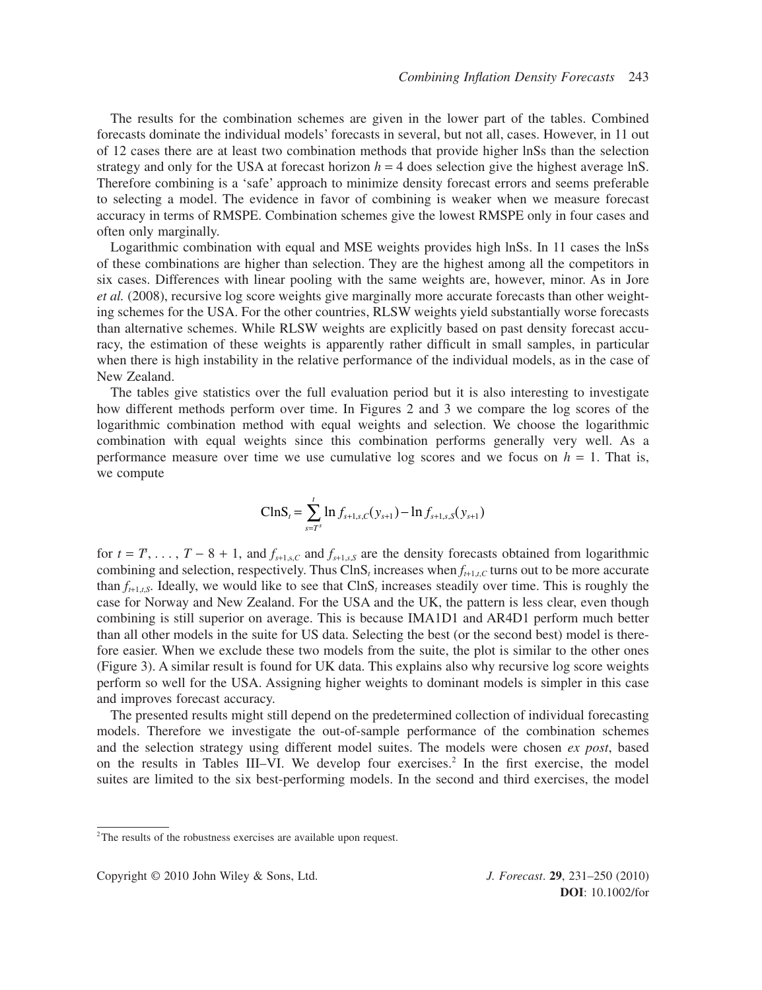The results for the combination schemes are given in the lower part of the tables. Combined forecasts dominate the individual models' forecasts in several, but not all, cases. However, in 11 out of 12 cases there are at least two combination methods that provide higher lnSs than the selection strategy and only for the USA at forecast horizon  $h = 4$  does selection give the highest average lnS. Therefore combining is a 'safe' approach to minimize density forecast errors and seems preferable to selecting a model. The evidence in favor of combining is weaker when we measure forecast accuracy in terms of RMSPE. Combination schemes give the lowest RMSPE only in four cases and often only marginally.

Logarithmic combination with equal and MSE weights provides high lnSs. In 11 cases the lnSs of these combinations are higher than selection. They are the highest among all the competitors in six cases. Differences with linear pooling with the same weights are, however, minor. As in Jore *et al.* (2008), recursive log score weights give marginally more accurate forecasts than other weighting schemes for the USA. For the other countries, RLSW weights yield substantially worse forecasts than alternative schemes. While RLSW weights are explicitly based on past density forecast accuracy, the estimation of these weights is apparently rather difficult in small samples, in particular when there is high instability in the relative performance of the individual models, as in the case of New Zealand.

The tables give statistics over the full evaluation period but it is also interesting to investigate how different methods perform over time. In Figures 2 and 3 we compare the log scores of the logarithmic combination method with equal weights and selection. We choose the logarithmic combination with equal weights since this combination performs generally very well. As a performance measure over time we use cumulative log scores and we focus on  $h = 1$ . That is, we compute

$$
\text{ClnS}_t = \sum_{s=T^s}^t \ln f_{s+1,s,C}(y_{s+1}) - \ln f_{s+1,s,S}(y_{s+1})
$$

for  $t = T, \ldots, T - 8 + 1$ , and  $f_{s+1,s,C}$  and  $f_{s+1,s,S}$  are the density forecasts obtained from logarithmic combining and selection, respectively. Thus ClnS<sub>*t*</sub> increases when  $f_{t+1,t,C}$  turns out to be more accurate than  $f_{t+1,t,S}$ . Ideally, we would like to see that ClnS<sub>t</sub> increases steadily over time. This is roughly the case for Norway and New Zealand. For the USA and the UK, the pattern is less clear, even though combining is still superior on average. This is because IMA1D1 and AR4D1 perform much better than all other models in the suite for US data. Selecting the best (or the second best) model is therefore easier. When we exclude these two models from the suite, the plot is similar to the other ones (Figure 3). A similar result is found for UK data. This explains also why recursive log score weights perform so well for the USA. Assigning higher weights to dominant models is simpler in this case and improves forecast accuracy.

The presented results might still depend on the predetermined collection of individual forecasting models. Therefore we investigate the out-of-sample performance of the combination schemes and the selection strategy using different model suites. The models were chosen *ex post*, based on the results in Tables III–VI. We develop four exercises.<sup>2</sup> In the first exercise, the model suites are limited to the six best-performing models. In the second and third exercises, the model

<sup>&</sup>lt;sup>2</sup>The results of the robustness exercises are available upon request.

Copyright © 2010 John Wiley & Sons, Ltd. *J. Forecast*. **29**, 231–250 (2010)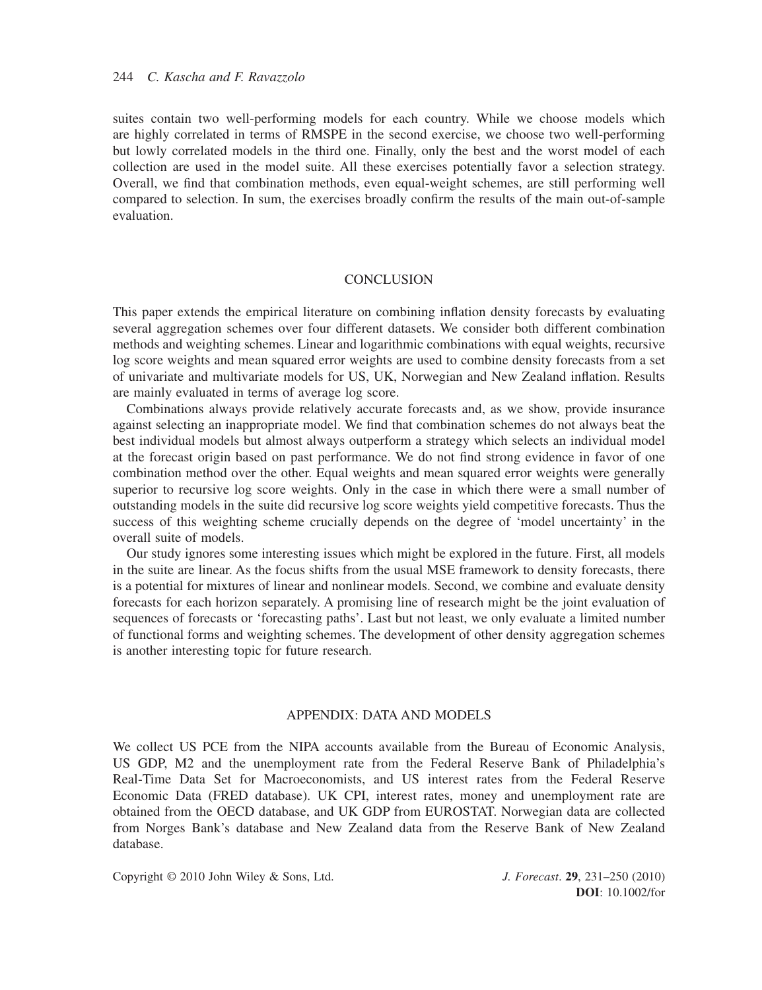suites contain two well-performing models for each country. While we choose models which are highly correlated in terms of RMSPE in the second exercise, we choose two well-performing but lowly correlated models in the third one. Finally, only the best and the worst model of each collection are used in the model suite. All these exercises potentially favor a selection strategy. Overall, we find that combination methods, even equal-weight schemes, are still performing well compared to selection. In sum, the exercises broadly confirm the results of the main out-of-sample evaluation.

#### **CONCLUSION**

This paper extends the empirical literature on combining inflation density forecasts by evaluating several aggregation schemes over four different datasets. We consider both different combination methods and weighting schemes. Linear and logarithmic combinations with equal weights, recursive log score weights and mean squared error weights are used to combine density forecasts from a set of univariate and multivariate models for US, UK, Norwegian and New Zealand inflation. Results are mainly evaluated in terms of average log score.

Combinations always provide relatively accurate forecasts and, as we show, provide insurance against selecting an inappropriate model. We find that combination schemes do not always beat the best individual models but almost always outperform a strategy which selects an individual model at the forecast origin based on past performance. We do not find strong evidence in favor of one combination method over the other. Equal weights and mean squared error weights were generally superior to recursive log score weights. Only in the case in which there were a small number of outstanding models in the suite did recursive log score weights yield competitive forecasts. Thus the success of this weighting scheme crucially depends on the degree of 'model uncertainty' in the overall suite of models.

Our study ignores some interesting issues which might be explored in the future. First, all models in the suite are linear. As the focus shifts from the usual MSE framework to density forecasts, there is a potential for mixtures of linear and nonlinear models. Second, we combine and evaluate density forecasts for each horizon separately. A promising line of research might be the joint evaluation of sequences of forecasts or 'forecasting paths'. Last but not least, we only evaluate a limited number of functional forms and weighting schemes. The development of other density aggregation schemes is another interesting topic for future research.

## APPENDIX: DATA AND MODELS

We collect US PCE from the NIPA accounts available from the Bureau of Economic Analysis, US GDP, M2 and the unemployment rate from the Federal Reserve Bank of Philadelphia's Real-Time Data Set for Macroeconomists, and US interest rates from the Federal Reserve Economic Data (FRED database). UK CPI, interest rates, money and unemployment rate are obtained from the OECD database, and UK GDP from EUROSTAT. Norwegian data are collected from Norges Bank's database and New Zealand data from the Reserve Bank of New Zealand database.

Copyright © 2010 John Wiley & Sons, Ltd. *J. Forecast*. **29**, 231–250 (2010)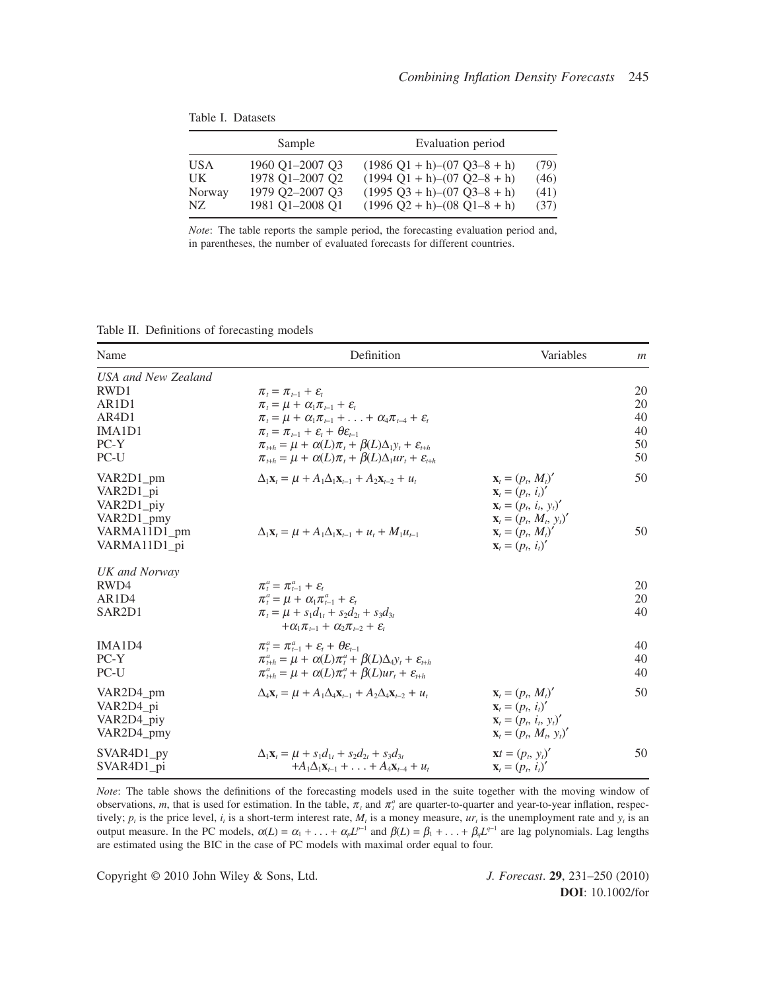|                                   | Sample                                                                   | Evaluation period                                                                                                                                                                                                                                            |                              |
|-----------------------------------|--------------------------------------------------------------------------|--------------------------------------------------------------------------------------------------------------------------------------------------------------------------------------------------------------------------------------------------------------|------------------------------|
| <b>USA</b><br>UK<br>Norway<br>NZ. | 1960 O1-2007 O3<br>1978 O1-2007 O2<br>1979 Q2-2007 Q3<br>1981 O1-2008 O1 | $(1986 \text{ Q}1 + \text{h}) - (07 \text{ Q}3 - 8 + \text{h})$<br>$(1994 \text{ O}1 + h) - (07 \text{ O}2 - 8 + h)$<br>$(1995 \text{ Q}3 + \text{h}) - (07 \text{ Q}3 - 8 + \text{h})$<br>$(1996 \text{ } Q2 + \text{h}) - (08 \text{ } Q1 - 8 + \text{h})$ | (79)<br>(46)<br>(41)<br>(37) |

Table I. Datasets

*Note*: The table reports the sample period, the forecasting evaluation period and, in parentheses, the number of evaluated forecasts for different countries.

Table II. Definitions of forecasting models

| Name                                               | Definition                                                                                                                                                    | Variables                                                                                                                              | m        |
|----------------------------------------------------|---------------------------------------------------------------------------------------------------------------------------------------------------------------|----------------------------------------------------------------------------------------------------------------------------------------|----------|
| USA and New Zealand<br>RWD1                        |                                                                                                                                                               |                                                                                                                                        |          |
| AR <sub>1</sub> D <sub>1</sub>                     | $\pi_i = \pi_{i-1} + \varepsilon_i$                                                                                                                           |                                                                                                                                        | 20<br>20 |
| AR <sub>4</sub> D <sub>1</sub>                     | $\pi_i = \mu + \alpha_1 \pi_{i-1} + \varepsilon_i$                                                                                                            |                                                                                                                                        | 40       |
| IMA <sub>1</sub> D <sub>1</sub>                    | $\pi_i = \mu + \alpha_1 \pi_{i-1} + \ldots + \alpha_4 \pi_{i-4} + \varepsilon_i$<br>$\pi_i = \pi_{i-1} + \varepsilon_i + \theta \varepsilon_{i-1}$            |                                                                                                                                        | 40       |
| $PC-Y$                                             | $\pi_{\scriptscriptstyle t+h} = \mu + \alpha(L)\pi_{\scriptscriptstyle t} + \beta(L)\Delta_1v_{\scriptscriptstyle t} + \varepsilon_{\scriptscriptstyle t+h}$  |                                                                                                                                        | 50       |
| PC-U                                               | $\pi_{\scriptscriptstyle t+h} = \mu + \alpha(L)\pi_{\scriptscriptstyle t} + \beta(L)\Delta_1ur_{\scriptscriptstyle t} + \varepsilon_{\scriptscriptstyle t+h}$ |                                                                                                                                        | 50       |
| VAR2D1_pm<br>VAR2D1_pi<br>VAR2D1_piy<br>VAR2D1_pmy | $\Delta_1 \mathbf{x}_t = \mu + A_1 \Delta_1 \mathbf{x}_{t-1} + A_2 \mathbf{x}_{t-2} + u_t$                                                                    | ${\bf x}_{i} = (p_{i}, M_{i})'$<br>${\bf x}_i = (p_i, i_i)'$<br>${\bf x}_t = (p_t, i_t, y_t)'$<br>${\bf x}_{i}=(p_{i},M_{i},\nu_{i})'$ | 50       |
| VARMA11D1_pm<br>VARMA11D1_pi                       | $\Delta_1 \mathbf{x}_t = \mu + A_1 \Delta_1 \mathbf{x}_{t-1} + u_t + M_1 u_{t-1}$                                                                             | ${\bf x}_{i} = (p_{i}, M_{i})'$<br>${\bf x}_t = (p_t, i_t)'$                                                                           | 50       |
| UK and Norway                                      |                                                                                                                                                               |                                                                                                                                        |          |
| RWD4                                               | $\pi_i^a = \pi_{i-1}^a + \varepsilon_i$                                                                                                                       |                                                                                                                                        | 20       |
| AR1D4                                              | $\pi_i^a = \mu + \alpha_1 \pi_{i-1}^a + \varepsilon_i$                                                                                                        |                                                                                                                                        | 20       |
| SAR <sub>2</sub> D <sub>1</sub>                    | $\pi_i = \mu + s_1 d_{1i} + s_2 d_{2i} + s_3 d_{3i}$<br>$+\alpha_1\pi_{t-1} + \alpha_2\pi_{t-2} + \varepsilon_t$                                              |                                                                                                                                        | 40       |
| IMA <sub>1</sub> D <sub>4</sub>                    | $\pi_i^a = \pi_{i-1}^a + \varepsilon_i + \theta \varepsilon_{i-1}$                                                                                            |                                                                                                                                        | 40       |
| $PC-Y$                                             | $\pi_{i+h}^a = \mu + \alpha(L)\pi_i^a + \beta(L)\Delta_i y_i + \varepsilon_{i+h}$                                                                             |                                                                                                                                        | 40       |
| $PC-U$                                             | $\pi_{\scriptscriptstyle t+h}^a = \mu + \alpha(L)\pi_{\scriptscriptstyle t}^a + \beta(L)\mu r_{\scriptscriptstyle t} + \varepsilon_{\scriptscriptstyle t+h}$  |                                                                                                                                        | 40       |
| VAR2D4_pm<br>VAR2D4_pi<br>VAR2D4_piy<br>VAR2D4_pmy | $\Delta_4 \mathbf{x}_t = \mu + A_1 \Delta_4 \mathbf{x}_{t-1} + A_2 \Delta_4 \mathbf{x}_{t-2} + u_t$                                                           | ${\bf x}_t = (p_t, M_t)'$<br>${\bf x}_i = (p_i, i_i)'$<br>${\bf x}_{i}=(p_{i}, i_{i}, v_{i})'$<br>${\bf x}_t = (p_t, M_t, v_t)'$       | 50       |
| SVAR4D1_py<br>SVAR4D1_pi                           | $\Delta_1 \mathbf{x}_t = \mu + s_1 d_{1t} + s_2 d_{2t} + s_3 d_{3t}$<br>$+A_1\Delta_1X_{t-1} + \ldots + A_4X_{t-4} + u_t$                                     | $Xt = (p_t, v_t)'$<br>${\bf x}_{t} = (p_{t}, i_{t})'$                                                                                  | 50       |

*Note*: The table shows the definitions of the forecasting models used in the suite together with the moving window of observations, *m*, that is used for estimation. In the table,  $π_t$  and  $π_t^q$  are quarter-to-quarter and year-to-year inflation, respectively;  $p_t$  is the price level,  $i_t$  is a short-term interest rate,  $M_t$  is a money measure,  $ur_t$  is the unemployment rate and  $y_t$  is an output measure. In the PC models,  $α(L) = α_1 + ... + α_p L^{p-1}$  and  $β(L) = β_1 + ... + β_q L^{q-1}$  are lag polynomials. Lag lengths are estimated using the BIC in the case of PC models with maximal order equal to four.

Copyright © 2010 John Wiley & Sons, Ltd. *J. Forecast*. **29**, 231–250 (2010)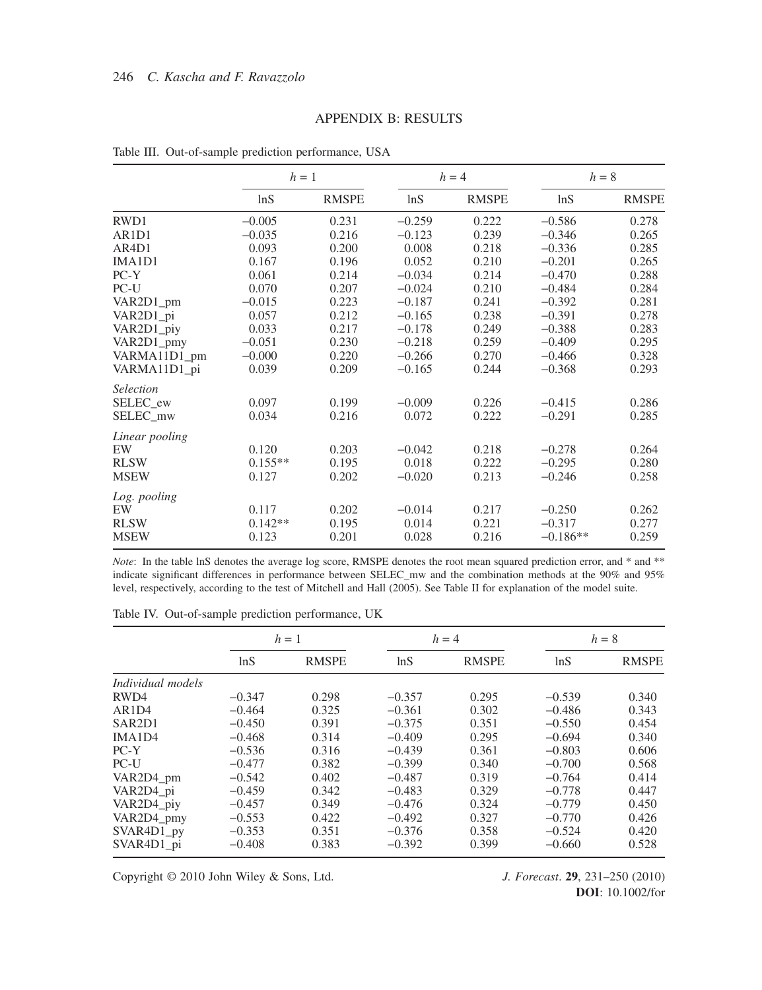#### APPENDIX B: RESULTS

|                                | $h=1$     |              |          | $h = 4$      | $h=8$      |              |
|--------------------------------|-----------|--------------|----------|--------------|------------|--------------|
|                                | lnS       | <b>RMSPE</b> | lnS      | <b>RMSPE</b> | ln S       | <b>RMSPE</b> |
| RWD1                           | $-0.005$  | 0.231        | $-0.259$ | 0.222        | $-0.586$   | 0.278        |
| AR <sub>1</sub> D <sub>1</sub> | $-0.035$  | 0.216        | $-0.123$ | 0.239        | $-0.346$   | 0.265        |
| AR <sub>4</sub> D <sub>1</sub> | 0.093     | 0.200        | 0.008    | 0.218        | $-0.336$   | 0.285        |
| IMA1D1                         | 0.167     | 0.196        | 0.052    | 0.210        | $-0.201$   | 0.265        |
| $PC-Y$                         | 0.061     | 0.214        | $-0.034$ | 0.214        | $-0.470$   | 0.288        |
| PC-U                           | 0.070     | 0.207        | $-0.024$ | 0.210        | $-0.484$   | 0.284        |
| VAR2D1_pm                      | $-0.015$  | 0.223        | $-0.187$ | 0.241        | $-0.392$   | 0.281        |
| VAR2D1_pi                      | 0.057     | 0.212        | $-0.165$ | 0.238        | $-0.391$   | 0.278        |
| VAR2D1_piy                     | 0.033     | 0.217        | $-0.178$ | 0.249        | $-0.388$   | 0.283        |
| VAR2D1_pmy                     | $-0.051$  | 0.230        | $-0.218$ | 0.259        | $-0.409$   | 0.295        |
| VARMA11D1_pm                   | $-0.000$  | 0.220        | $-0.266$ | 0.270        | $-0.466$   | 0.328        |
| VARMA11D1_pi                   | 0.039     | 0.209        | $-0.165$ | 0.244        | $-0.368$   | 0.293        |
| <b>Selection</b>               |           |              |          |              |            |              |
| SELEC ew                       | 0.097     | 0.199        | $-0.009$ | 0.226        | $-0.415$   | 0.286        |
| SELEC mw                       | 0.034     | 0.216        | 0.072    | 0.222        | $-0.291$   | 0.285        |
| Linear pooling                 |           |              |          |              |            |              |
| EW                             | 0.120     | 0.203        | $-0.042$ | 0.218        | $-0.278$   | 0.264        |
| <b>RLSW</b>                    | $0.155**$ | 0.195        | 0.018    | 0.222        | $-0.295$   | 0.280        |
| <b>MSEW</b>                    | 0.127     | 0.202        | $-0.020$ | 0.213        | $-0.246$   | 0.258        |
| Log. pooling                   |           |              |          |              |            |              |
| EW                             | 0.117     | 0.202        | $-0.014$ | 0.217        | $-0.250$   | 0.262        |
| <b>RLSW</b>                    | $0.142**$ | 0.195        | 0.014    | 0.221        | $-0.317$   | 0.277        |
| <b>MSEW</b>                    | 0.123     | 0.201        | 0.028    | 0.216        | $-0.186**$ | 0.259        |

Table III. Out-of-sample prediction performance, USA

*Note*: In the table lnS denotes the average log score, RMSPE denotes the root mean squared prediction error, and \* and \*\* indicate significant differences in performance between SELEC\_mw and the combination methods at the 90% and 95% level, respectively, according to the test of Mitchell and Hall (2005). See Table II for explanation of the model suite.

|  | Table IV. Out-of-sample prediction performance, UK |  |  |  |
|--|----------------------------------------------------|--|--|--|
|--|----------------------------------------------------|--|--|--|

|                                 |          | $h=1$        |          | $h = 4$      |          | $h=8$        |  |
|---------------------------------|----------|--------------|----------|--------------|----------|--------------|--|
|                                 | ln S     | <b>RMSPE</b> | ln S     | <b>RMSPE</b> | lnS      | <b>RMSPE</b> |  |
| Individual models               |          |              |          |              |          |              |  |
| RWD4                            | $-0.347$ | 0.298        | $-0.357$ | 0.295        | $-0.539$ | 0.340        |  |
| AR1D4                           | $-0.464$ | 0.325        | $-0.361$ | 0.302        | $-0.486$ | 0.343        |  |
| SAR <sub>2</sub> D <sub>1</sub> | $-0.450$ | 0.391        | $-0.375$ | 0.351        | $-0.550$ | 0.454        |  |
| IMA1D4                          | $-0.468$ | 0.314        | $-0.409$ | 0.295        | $-0.694$ | 0.340        |  |
| $PC-Y$                          | $-0.536$ | 0.316        | $-0.439$ | 0.361        | $-0.803$ | 0.606        |  |
| PC-U                            | $-0.477$ | 0.382        | $-0.399$ | 0.340        | $-0.700$ | 0.568        |  |
| VAR2D4_pm                       | $-0.542$ | 0.402        | $-0.487$ | 0.319        | $-0.764$ | 0.414        |  |
| VAR2D4_pi                       | $-0.459$ | 0.342        | $-0.483$ | 0.329        | $-0.778$ | 0.447        |  |
| VAR2D4_piy                      | $-0.457$ | 0.349        | $-0.476$ | 0.324        | $-0.779$ | 0.450        |  |
| VAR2D4_pmy                      | $-0.553$ | 0.422        | $-0.492$ | 0.327        | $-0.770$ | 0.426        |  |
| SVAR4D1_py                      | $-0.353$ | 0.351        | $-0.376$ | 0.358        | $-0.524$ | 0.420        |  |
| SVAR4D1_pi                      | $-0.408$ | 0.383        | $-0.392$ | 0.399        | $-0.660$ | 0.528        |  |

Copyright © 2010 John Wiley & Sons, Ltd. *J. Forecast*. **29**, 231–250 (2010)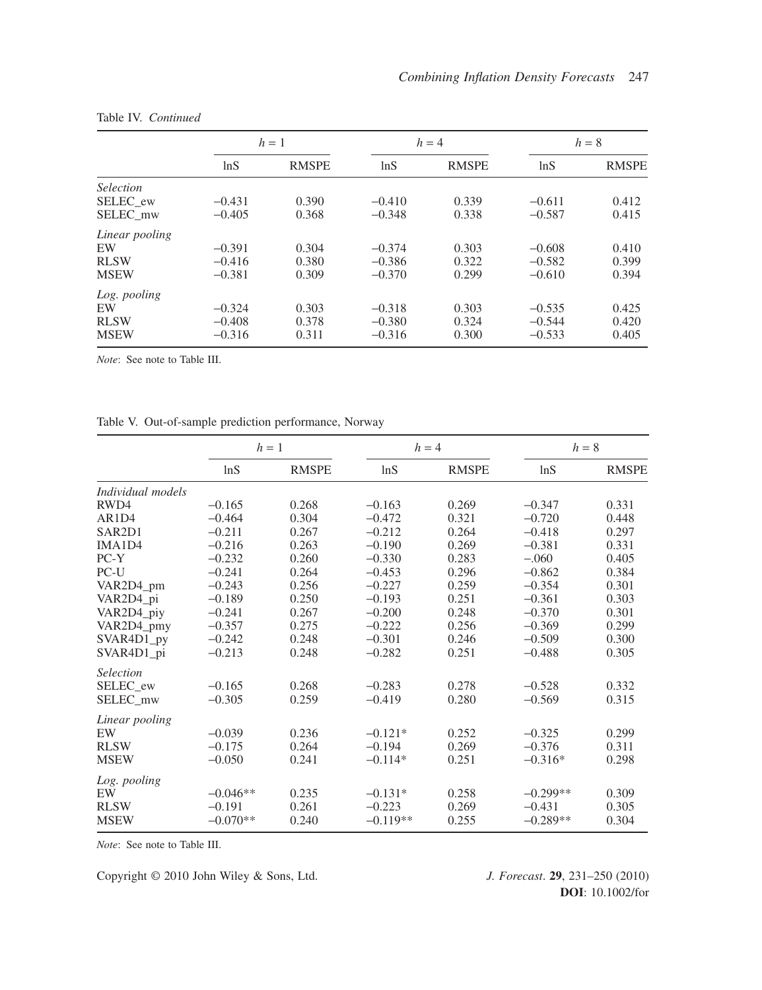|                         | $h=1$    |              | $h = 4$  |              | $h=8$    |              |
|-------------------------|----------|--------------|----------|--------------|----------|--------------|
|                         | lnS      | <b>RMSPE</b> | ln S     | <b>RMSPE</b> | ln S     | <b>RMSPE</b> |
| <i><u>Selection</u></i> |          |              |          |              |          |              |
| SELEC ew                | $-0.431$ | 0.390        | $-0.410$ | 0.339        | $-0.611$ | 0.412        |
| SELEC mw                | $-0.405$ | 0.368        | $-0.348$ | 0.338        | $-0.587$ | 0.415        |
| Linear pooling          |          |              |          |              |          |              |
| EW                      | $-0.391$ | 0.304        | $-0.374$ | 0.303        | $-0.608$ | 0.410        |
| <b>RLSW</b>             | $-0.416$ | 0.380        | $-0.386$ | 0.322        | $-0.582$ | 0.399        |
| <b>MSEW</b>             | $-0.381$ | 0.309        | $-0.370$ | 0.299        | $-0.610$ | 0.394        |
| Log. pooling            |          |              |          |              |          |              |
| EW                      | $-0.324$ | 0.303        | $-0.318$ | 0.303        | $-0.535$ | 0.425        |
| <b>RLSW</b>             | $-0.408$ | 0.378        | $-0.380$ | 0.324        | $-0.544$ | 0.420        |
| <b>MSEW</b>             | $-0.316$ | 0.311        | $-0.316$ | 0.300        | $-0.533$ | 0.405        |

# Table IV. *Continued*

*Note*: See note to Table III.

# Table V. Out-of-sample prediction performance, Norway

|                                 | $h=1$      |              | $h = 4$    |              | $h=8$      |              |
|---------------------------------|------------|--------------|------------|--------------|------------|--------------|
|                                 | lnS        | <b>RMSPE</b> | ln S       | <b>RMSPE</b> | ln S       | <b>RMSPE</b> |
| Individual models               |            |              |            |              |            |              |
| RWD4                            | $-0.165$   | 0.268        | $-0.163$   | 0.269        | $-0.347$   | 0.331        |
| AR1D4                           | $-0.464$   | 0.304        | $-0.472$   | 0.321        | $-0.720$   | 0.448        |
| SAR <sub>2</sub> D <sub>1</sub> | $-0.211$   | 0.267        | $-0.212$   | 0.264        | $-0.418$   | 0.297        |
| IMA1D4                          | $-0.216$   | 0.263        | $-0.190$   | 0.269        | $-0.381$   | 0.331        |
| $PC-Y$                          | $-0.232$   | 0.260        | $-0.330$   | 0.283        | $-.060$    | 0.405        |
| PC-U                            | $-0.241$   | 0.264        | $-0.453$   | 0.296        | $-0.862$   | 0.384        |
| VAR2D4_pm                       | $-0.243$   | 0.256        | $-0.227$   | 0.259        | $-0.354$   | 0.301        |
| VAR2D4_pi                       | $-0.189$   | 0.250        | $-0.193$   | 0.251        | $-0.361$   | 0.303        |
| VAR2D4_piy                      | $-0.241$   | 0.267        | $-0.200$   | 0.248        | $-0.370$   | 0.301        |
| VAR2D4_pmy                      | $-0.357$   | 0.275        | $-0.222$   | 0.256        | $-0.369$   | 0.299        |
| SVAR4D1_py                      | $-0.242$   | 0.248        | $-0.301$   | 0.246        | $-0.509$   | 0.300        |
| SVAR4D1_pi                      | $-0.213$   | 0.248        | $-0.282$   | 0.251        | $-0.488$   | 0.305        |
| Selection                       |            |              |            |              |            |              |
| SELEC ew                        | $-0.165$   | 0.268        | $-0.283$   | 0.278        | $-0.528$   | 0.332        |
| SELEC_mw                        | $-0.305$   | 0.259        | $-0.419$   | 0.280        | $-0.569$   | 0.315        |
| Linear pooling                  |            |              |            |              |            |              |
| EW                              | $-0.039$   | 0.236        | $-0.121*$  | 0.252        | $-0.325$   | 0.299        |
| <b>RLSW</b>                     | $-0.175$   | 0.264        | $-0.194$   | 0.269        | $-0.376$   | 0.311        |
| <b>MSEW</b>                     | $-0.050$   | 0.241        | $-0.114*$  | 0.251        | $-0.316*$  | 0.298        |
| Log. pooling                    |            |              |            |              |            |              |
| EW                              | $-0.046**$ | 0.235        | $-0.131*$  | 0.258        | $-0.299**$ | 0.309        |
| <b>RLSW</b>                     | $-0.191$   | 0.261        | $-0.223$   | 0.269        | $-0.431$   | 0.305        |
| <b>MSEW</b>                     | $-0.070**$ | 0.240        | $-0.119**$ | 0.255        | $-0.289**$ | 0.304        |

*Note*: See note to Table III.

Copyright © 2010 John Wiley & Sons, Ltd. *J. Forecast*. **29**, 231–250 (2010)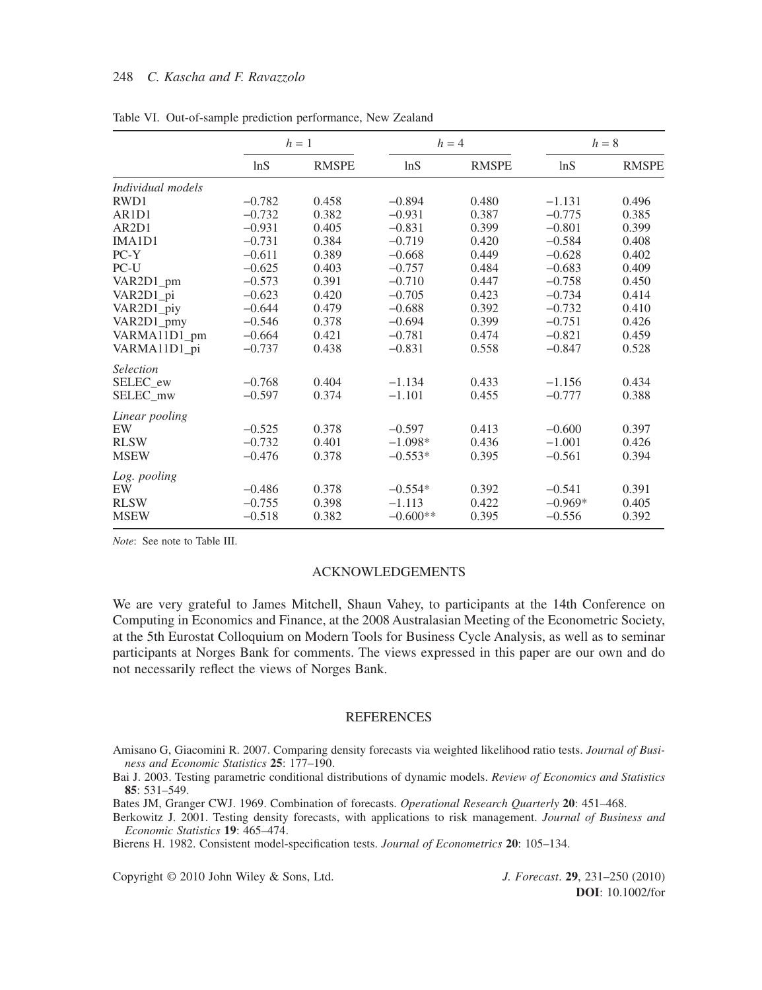|                                | $h=1$    |              |            | $h = 4$      |           | $h=8$        |  |
|--------------------------------|----------|--------------|------------|--------------|-----------|--------------|--|
|                                | lnS      | <b>RMSPE</b> | ln S       | <b>RMSPE</b> | lnS       | <b>RMSPE</b> |  |
| Individual models              |          |              |            |              |           |              |  |
| RWD1                           | $-0.782$ | 0.458        | $-0.894$   | 0.480        | $-1.131$  | 0.496        |  |
| AR <sub>1</sub> D <sub>1</sub> | $-0.732$ | 0.382        | $-0.931$   | 0.387        | $-0.775$  | 0.385        |  |
| AR2D1                          | $-0.931$ | 0.405        | $-0.831$   | 0.399        | $-0.801$  | 0.399        |  |
| IMA1D1                         | $-0.731$ | 0.384        | $-0.719$   | 0.420        | $-0.584$  | 0.408        |  |
| $PC-Y$                         | $-0.611$ | 0.389        | $-0.668$   | 0.449        | $-0.628$  | 0.402        |  |
| PC-U                           | $-0.625$ | 0.403        | $-0.757$   | 0.484        | $-0.683$  | 0.409        |  |
| VAR2D1_pm                      | $-0.573$ | 0.391        | $-0.710$   | 0.447        | $-0.758$  | 0.450        |  |
| VAR2D1_pi                      | $-0.623$ | 0.420        | $-0.705$   | 0.423        | $-0.734$  | 0.414        |  |
| VAR2D1_piy                     | $-0.644$ | 0.479        | $-0.688$   | 0.392        | $-0.732$  | 0.410        |  |
| VAR2D1_pmy                     | $-0.546$ | 0.378        | $-0.694$   | 0.399        | $-0.751$  | 0.426        |  |
| VARMA11D1_pm                   | $-0.664$ | 0.421        | $-0.781$   | 0.474        | $-0.821$  | 0.459        |  |
| VARMA11D1_pi                   | $-0.737$ | 0.438        | $-0.831$   | 0.558        | $-0.847$  | 0.528        |  |
| <b>Selection</b>               |          |              |            |              |           |              |  |
| SELEC_ew                       | $-0.768$ | 0.404        | $-1.134$   | 0.433        | $-1.156$  | 0.434        |  |
| SELEC mw                       | $-0.597$ | 0.374        | $-1.101$   | 0.455        | $-0.777$  | 0.388        |  |
| Linear pooling                 |          |              |            |              |           |              |  |
| EW                             | $-0.525$ | 0.378        | $-0.597$   | 0.413        | $-0.600$  | 0.397        |  |
| <b>RLSW</b>                    | $-0.732$ | 0.401        | $-1.098*$  | 0.436        | $-1.001$  | 0.426        |  |
| <b>MSEW</b>                    | $-0.476$ | 0.378        | $-0.553*$  | 0.395        | $-0.561$  | 0.394        |  |
| Log. pooling                   |          |              |            |              |           |              |  |
| EW                             | $-0.486$ | 0.378        | $-0.554*$  | 0.392        | $-0.541$  | 0.391        |  |
| <b>RLSW</b>                    | $-0.755$ | 0.398        | $-1.113$   | 0.422        | $-0.969*$ | 0.405        |  |
| <b>MSEW</b>                    | $-0.518$ | 0.382        | $-0.600**$ | 0.395        | $-0.556$  | 0.392        |  |

Table VI. Out-of-sample prediction performance, New Zealand

*Note*: See note to Table III.

# ACKNOWLEDGEMENTS

We are very grateful to James Mitchell, Shaun Vahey, to participants at the 14th Conference on Computing in Economics and Finance, at the 2008 Australasian Meeting of the Econometric Society, at the 5th Eurostat Colloquium on Modern Tools for Business Cycle Analysis, as well as to seminar participants at Norges Bank for comments. The views expressed in this paper are our own and do not necessarily reflect the views of Norges Bank.

# REFERENCES

Amisano G, Giacomini R. 2007. Comparing density forecasts via weighted likelihood ratio tests. *Journal of Business and Economic Statistics* **25**: 177–190.

Bai J. 2003. Testing parametric conditional distributions of dynamic models. *Review of Economics and Statistics* **85**: 531–549.

Bates JM, Granger CWJ. 1969. Combination of forecasts. *Operational Research Quarterly* **20**: 451–468.

Berkowitz J. 2001. Testing density forecasts, with applications to risk management. *Journal of Business and Economic Statistics* **19**: 465–474.

Bierens H. 1982. Consistent model-specification tests. *Journal of Econometrics* 20: 105–134.

Copyright © 2010 John Wiley & Sons, Ltd. *J. Forecast*. **29**, 231–250 (2010)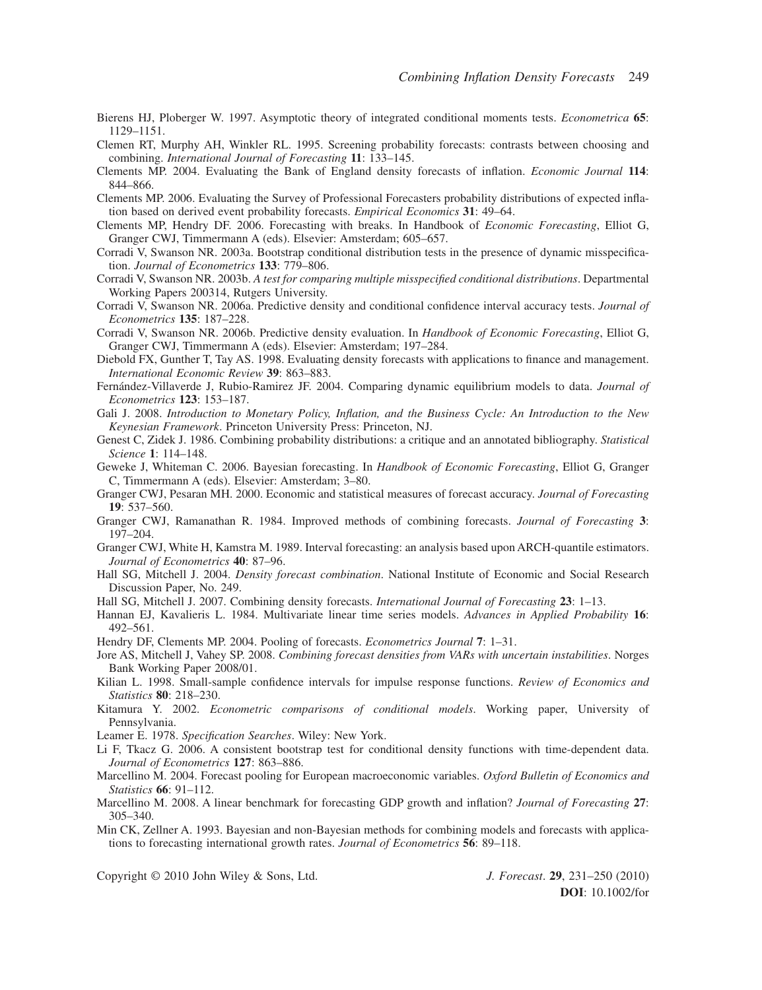- Bierens HJ, Ploberger W. 1997. Asymptotic theory of integrated conditional moments tests. *Econometrica* **65**: 1129–1151.
- Clemen RT, Murphy AH, Winkler RL. 1995. Screening probability forecasts: contrasts between choosing and combining. *International Journal of Forecasting* **11**: 133–145.
- Clements MP. 2004. Evaluating the Bank of England density forecasts of inflation. *Economic Journal* 114: 844–866.
- Clements MP. 2006. Evaluating the Survey of Professional Forecasters probability distributions of expected inflation based on derived event probability forecasts. *Empirical Economics* **31**: 49–64.
- Clements MP, Hendry DF. 2006. Forecasting with breaks. In Handbook of *Economic Forecasting*, Elliot G, Granger CWJ, Timmermann A (eds). Elsevier: Amsterdam; 605–657.
- Corradi V, Swanson NR. 2003a. Bootstrap conditional distribution tests in the presence of dynamic misspecification. *Journal of Econometrics* **133**: 779–806.
- Corradi V, Swanson NR. 2003b. *A test for comparing multiple misspecified conditional distributions*. Departmental Working Papers 200314, Rutgers University.
- Corradi V, Swanson NR. 2006a. Predictive density and conditional confidence interval accuracy tests. *Journal of Econometrics* **135**: 187–228.
- Corradi V, Swanson NR. 2006b. Predictive density evaluation. In *Handbook of Economic Forecasting*, Elliot G, Granger CWJ, Timmermann A (eds). Elsevier: Amsterdam; 197–284.
- Diebold FX, Gunther T, Tay AS. 1998. Evaluating density forecasts with applications to finance and management. *International Economic Review* **39**: 863–883.
- Fernández-Villaverde J, Rubio-Ramirez JF. 2004. Comparing dynamic equilibrium models to data. *Journal of Econometrics* **123**: 153–187.
- Gali J. 2008. *Introduction to Monetary Policy, Inflation, and the Business Cycle: An Introduction to the New Keynesian Framework*. Princeton University Press: Princeton, NJ.
- Genest C, Zidek J. 1986. Combining probability distributions: a critique and an annotated bibliography. *Statistical Science* **1**: 114–148.
- Geweke J, Whiteman C. 2006. Bayesian forecasting. In *Handbook of Economic Forecasting*, Elliot G, Granger C, Timmermann A (eds). Elsevier: Amsterdam; 3–80.
- Granger CWJ, Pesaran MH. 2000. Economic and statistical measures of forecast accuracy. *Journal of Forecasting* **19**: 537–560.
- Granger CWJ, Ramanathan R. 1984. Improved methods of combining forecasts. *Journal of Forecasting* **3**: 197–204.
- Granger CWJ, White H, Kamstra M. 1989. Interval forecasting: an analysis based upon ARCH-quantile estimators. *Journal of Econometrics* **40**: 87–96.
- Hall SG, Mitchell J. 2004. *Density forecast combination*. National Institute of Economic and Social Research Discussion Paper, No. 249.
- Hall SG, Mitchell J. 2007. Combining density forecasts. *International Journal of Forecasting* **23**: 1–13.
- Hannan EJ, Kavalieris L. 1984. Multivariate linear time series models. *Advances in Applied Probability* **16**: 492–561.
- Hendry DF, Clements MP. 2004. Pooling of forecasts. *Econometrics Journal* **7**: 1–31.
- Jore AS, Mitchell J, Vahey SP. 2008. *Combining forecast densities from VARs with uncertain instabilities*. Norges Bank Working Paper 2008/01.
- Kilian L. 1998. Small-sample confidence intervals for impulse response functions. *Review of Economics and Statistics* **80**: 218–230.
- Kitamura Y. 2002. *Econometric comparisons of conditional models*. Working paper, University of Pennsylvania.
- Leamer E. 1978. *Specification Searches*. Wiley: New York.
- Li F, Tkacz G. 2006. A consistent bootstrap test for conditional density functions with time-dependent data. *Journal of Econometrics* **127**: 863–886.
- Marcellino M. 2004. Forecast pooling for European macroeconomic variables. *Oxford Bulletin of Economics and Statistics* **66**: 91–112.
- Marcellino M. 2008. A linear benchmark for forecasting GDP growth and inflation? *Journal of Forecasting* 27: 305–340.
- Min CK, Zellner A. 1993. Bayesian and non-Bayesian methods for combining models and forecasts with applications to forecasting international growth rates. *Journal of Econometrics* **56**: 89–118.

Copyright © 2010 John Wiley & Sons, Ltd. *J. Forecast*. **29**, 231–250 (2010)